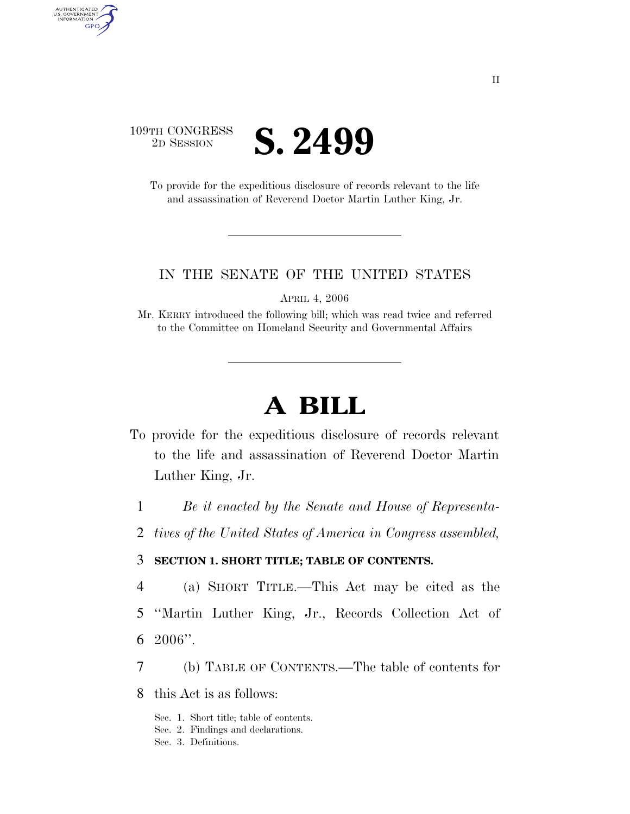

AUTHENTICATED<br>U.S. GOVERNMENT<br>INFORMATION GPO

> To provide for the expeditious disclosure of records relevant to the life and assassination of Reverend Doctor Martin Luther King, Jr.

#### IN THE SENATE OF THE UNITED STATES

APRIL 4, 2006

Mr. KERRY introduced the following bill; which was read twice and referred to the Committee on Homeland Security and Governmental Affairs

# **A BILL**

- To provide for the expeditious disclosure of records relevant to the life and assassination of Reverend Doctor Martin Luther King, Jr.
	- 1 *Be it enacted by the Senate and House of Representa-*
	- 2 *tives of the United States of America in Congress assembled,*

#### 3 **SECTION 1. SHORT TITLE; TABLE OF CONTENTS.**

- 4 (a) SHORT TITLE.—This Act may be cited as the
- 5 ''Martin Luther King, Jr., Records Collection Act of 6 2006''.
- 7 (b) TABLE OF CONTENTS.—The table of contents for
- 8 this Act is as follows:
	- Sec. 1. Short title; table of contents.
	- Sec. 2. Findings and declarations.
	- Sec. 3. Definitions.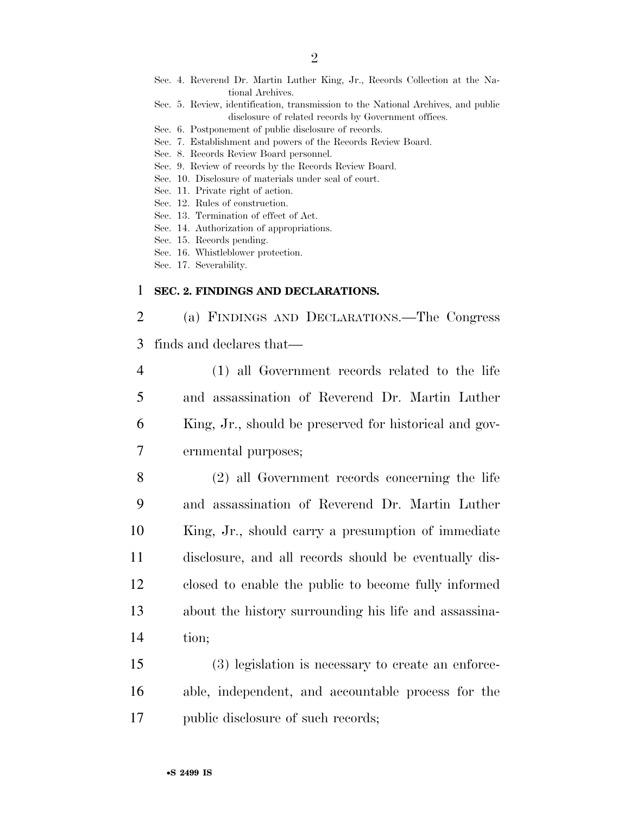- Sec. 4. Reverend Dr. Martin Luther King, Jr., Records Collection at the National Archives.
- Sec. 5. Review, identification, transmission to the National Archives, and public disclosure of related records by Government offices.
- Sec. 6. Postponement of public disclosure of records.
- Sec. 7. Establishment and powers of the Records Review Board.
- Sec. 8. Records Review Board personnel.
- Sec. 9. Review of records by the Records Review Board.
- Sec. 10. Disclosure of materials under seal of court.
- Sec. 11. Private right of action.
- Sec. 12. Rules of construction.
- Sec. 13. Termination of effect of Act.
- Sec. 14. Authorization of appropriations.
- Sec. 15. Records pending.
- Sec. 16. Whistleblower protection.
- Sec. 17. Severability.

#### 1 **SEC. 2. FINDINGS AND DECLARATIONS.**

2 (a) FINDINGS AND DECLARATIONS.—The Congress 3 finds and declares that—

 (1) all Government records related to the life and assassination of Reverend Dr. Martin Luther King, Jr., should be preserved for historical and gov-ernmental purposes;

 (2) all Government records concerning the life and assassination of Reverend Dr. Martin Luther King, Jr., should carry a presumption of immediate disclosure, and all records should be eventually dis- closed to enable the public to become fully informed about the history surrounding his life and assassina-14 tion;

15 (3) legislation is necessary to create an enforce-16 able, independent, and accountable process for the 17 public disclosure of such records;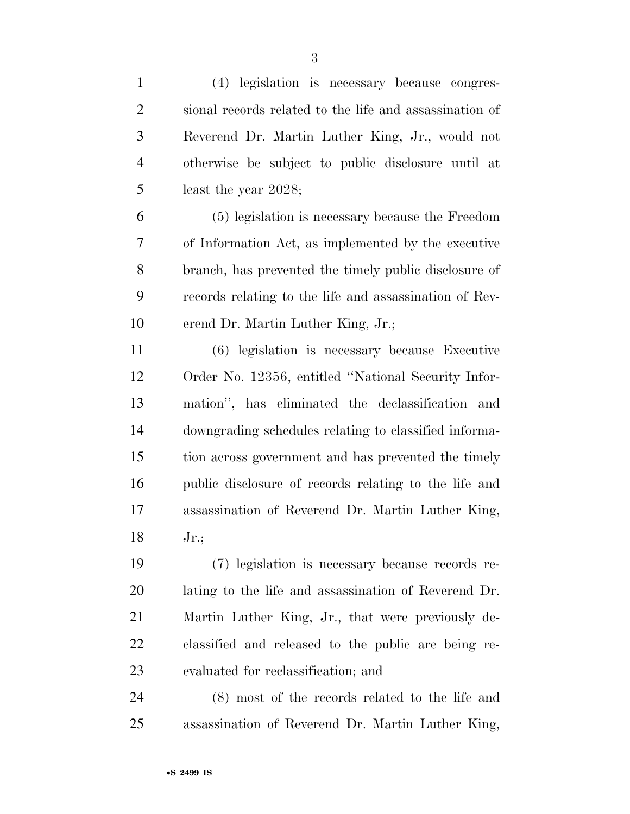| $\mathbf{1}$   | (4) legislation is necessary because congres-           |
|----------------|---------------------------------------------------------|
| $\overline{2}$ | sional records related to the life and assassination of |
| 3              | Reverend Dr. Martin Luther King, Jr., would not         |
| $\overline{4}$ | otherwise be subject to public disclosure until at      |
| 5              | least the year 2028;                                    |
| 6              | (5) legislation is necessary because the Freedom        |
| 7              | of Information Act, as implemented by the executive     |
| 8              | branch, has prevented the timely public disclosure of   |
| 9              | records relating to the life and assassination of Rev-  |
| 10             | erend Dr. Martin Luther King, Jr.;                      |
| 11             | (6) legislation is necessary because Executive          |
| 12             | Order No. 12356, entitled "National Security Infor-     |
| 13             | mation", has eliminated the declassification and        |
| 14             | downgrading schedules relating to classified informa-   |
| 15             | tion across government and has prevented the timely     |
| 16             | public disclosure of records relating to the life and   |
| 17             | assassination of Reverend Dr. Martin Luther King,       |
| 18             | $Jr$ .;                                                 |
| 19             | (7) legislation is necessary because records re-        |
| 20             | lating to the life and assassination of Reverend Dr.    |
| 21             | Martin Luther King, Jr., that were previously de-       |
| 22             | classified and released to the public are being re-     |
| 23             | evaluated for reclassification; and                     |
| 24             | (8) most of the records related to the life and         |
| 25             | assassination of Reverend Dr. Martin Luther King,       |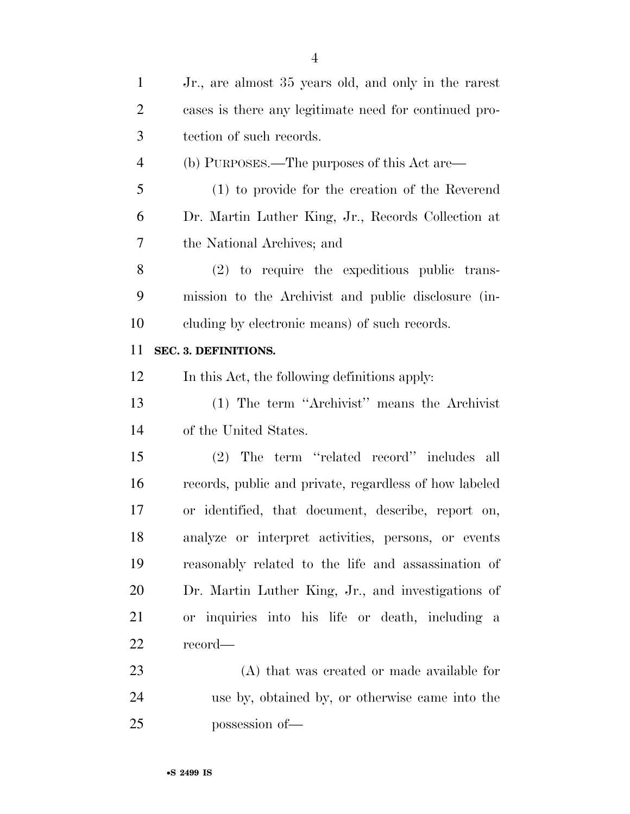| $\mathbf{1}$   | Jr., are almost 35 years old, and only in the rarest   |
|----------------|--------------------------------------------------------|
| $\overline{2}$ | cases is there any legitimate need for continued pro-  |
| 3              | tection of such records.                               |
| $\overline{4}$ | (b) PURPOSES.—The purposes of this Act are—            |
| 5              | (1) to provide for the creation of the Reverend        |
| 6              | Dr. Martin Luther King, Jr., Records Collection at     |
| 7              | the National Archives; and                             |
| 8              | $(2)$ to require the expeditious public trans-         |
| 9              | mission to the Archivist and public disclosure (in-    |
| 10             | cluding by electronic means) of such records.          |
| 11             | SEC. 3. DEFINITIONS.                                   |
| 12             | In this Act, the following definitions apply:          |
| 13             | (1) The term "Archivist" means the Archivist"          |
| 14             | of the United States.                                  |
| 15             | The term "related record" includes all<br>(2)          |
| 16             | records, public and private, regardless of how labeled |
| 17             | or identified, that document, describe, report on,     |
| 18             | analyze or interpret activities, persons, or events    |
| 19             | reasonably related to the life and assassination of    |
| 20             | Dr. Martin Luther King, Jr., and investigations of     |
| 21             | or inquiries into his life or death, including a       |
| 22             | record—                                                |
| 23             | (A) that was created or made available for             |
| 24             | use by, obtained by, or otherwise came into the        |
| 25             | possession of-                                         |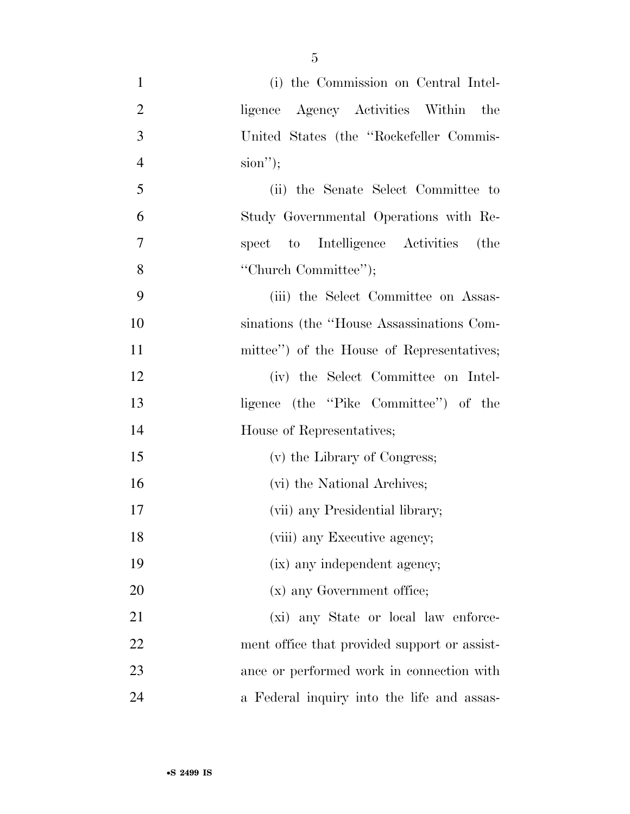| $\mathbf{1}$   | (i) the Commission on Central Intel-         |
|----------------|----------------------------------------------|
| $\overline{2}$ | ligence Agency Activities Within the         |
| 3              | United States (the "Rockefeller Commis-      |
| $\overline{4}$ | $sion$ ");                                   |
| 5              | (ii) the Senate Select Committee to          |
| 6              | Study Governmental Operations with Re-       |
| $\tau$         | spect to Intelligence Activities (the        |
| 8              | "Church Committee";                          |
| 9              | (iii) the Select Committee on Assas-         |
| 10             | sinations (the "House Assassinations Com-    |
| 11             | mittee") of the House of Representatives;    |
| 12             | (iv) the Select Committee on Intel-          |
| 13             | ligence (the "Pike Committee") of the        |
| 14             | House of Representatives;                    |
| 15             | (v) the Library of Congress;                 |
| 16             | (vi) the National Archives;                  |
| 17             | (vii) any Presidential library;              |
| 18             | (viii) any Executive agency;                 |
| 19             | (ix) any independent agency;                 |
| 20             | (x) any Government office;                   |
| 21             | (xi) any State or local law enforce-         |
| 22             | ment office that provided support or assist- |
| 23             | ance or performed work in connection with    |
| 24             | a Federal inquiry into the life and assas-   |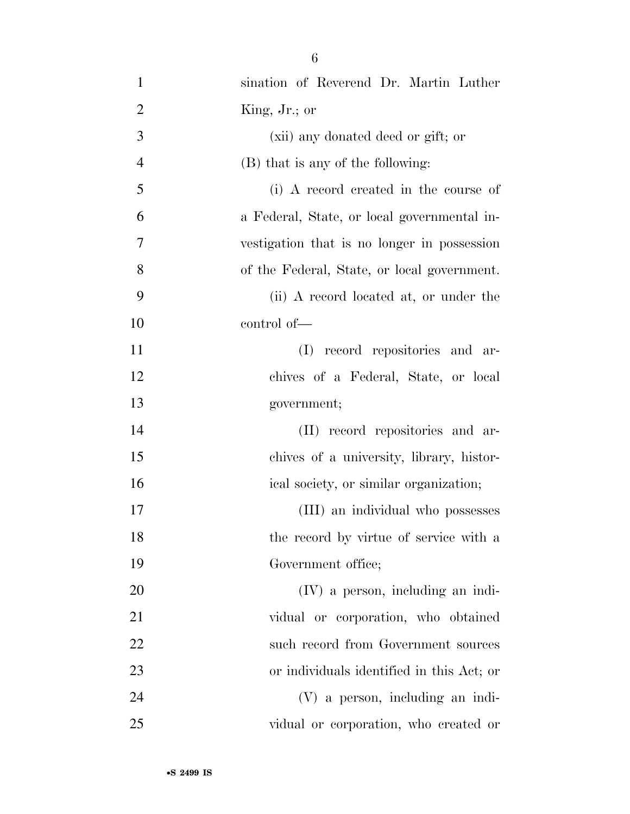| $\mathbf{1}$   | sination of Reverend Dr. Martin Luther      |
|----------------|---------------------------------------------|
| $\overline{2}$ | King, Jr.; or                               |
| 3              | (xii) any donated deed or gift; or          |
| $\overline{4}$ | (B) that is any of the following:           |
| 5              | (i) A record created in the course of       |
| 6              | a Federal, State, or local governmental in- |
| 7              | vestigation that is no longer in possession |
| 8              | of the Federal, State, or local government. |
| 9              | (ii) A record located at, or under the      |
| 10             | control of-                                 |
| 11             | (I) record repositories and ar-             |
| 12             | chives of a Federal, State, or local        |
| 13             | government;                                 |
| 14             | (II) record repositories and ar-            |
| 15             | chives of a university, library, histor-    |
| 16             | ical society, or similar organization;      |
| 17             | (III) an individual who possesses           |
| 18             | the record by virtue of service with a      |
| 19             | Government office;                          |
| 20             | (IV) a person, including an indi-           |
| 21             | vidual or corporation, who obtained         |
| 22             | such record from Government sources         |
| 23             | or individuals identified in this Act; or   |
| 24             | (V) a person, including an indi-            |
| 25             | vidual or corporation, who created or       |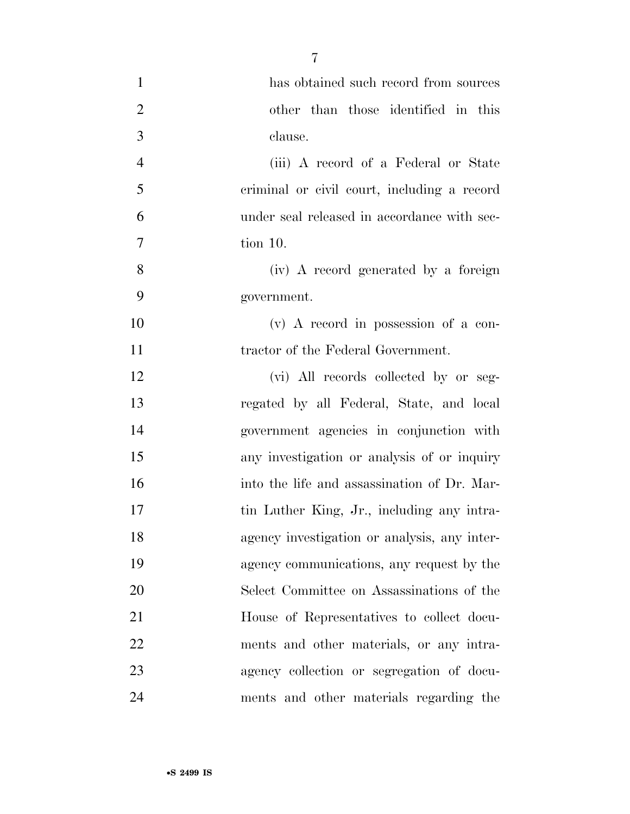| $\mathbf{1}$   | has obtained such record from sources        |
|----------------|----------------------------------------------|
| $\overline{2}$ | other than those identified in this          |
| 3              | clause.                                      |
| $\overline{4}$ | (iii) A record of a Federal or State         |
| 5              | criminal or civil court, including a record  |
| 6              | under seal released in accordance with sec-  |
| 7              | tion 10.                                     |
| 8              | (iv) A record generated by a foreign         |
| 9              | government.                                  |
| 10             | (v) A record in possession of a con-         |
| 11             | tractor of the Federal Government.           |
| 12             | (vi) All records collected by or seg-        |
| 13             | regated by all Federal, State, and local     |
| 14             | government agencies in conjunction with      |
| 15             | any investigation or analysis of or inquiry  |
| 16             | into the life and assassination of Dr. Mar-  |
| 17             | tin Luther King, Jr., including any intra-   |
| 18             | agency investigation or analysis, any inter- |
| 19             | agency communications, any request by the    |
| 20             | Select Committee on Assassinations of the    |
| 21             | House of Representatives to collect docu-    |
| 22             | ments and other materials, or any intra-     |
| 23             | agency collection or segregation of docu-    |
| 24             | ments and other materials regarding the      |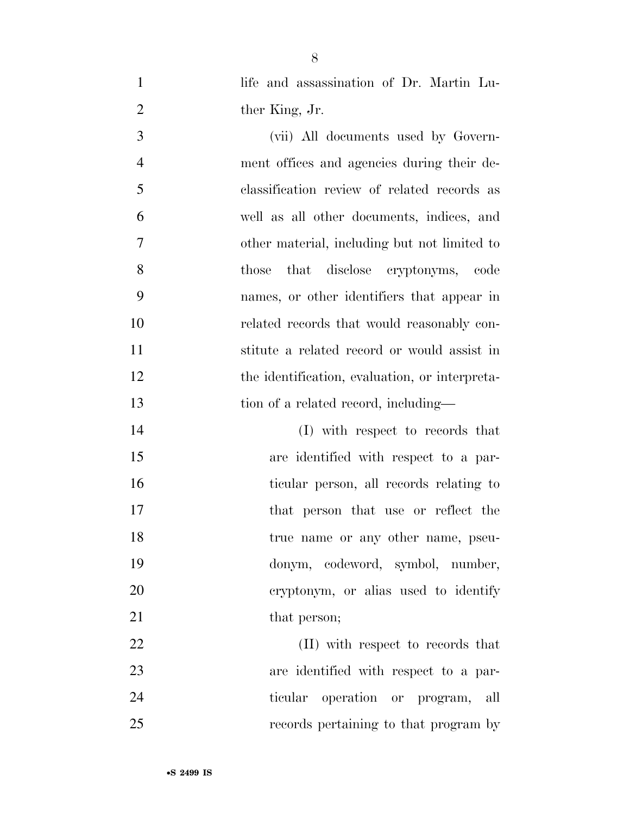- 1 life and assassination of Dr. Martin Lu-2 ther King, Jr. (vii) All documents used by Govern- ment offices and agencies during their de- classification review of related records as well as all other documents, indices, and other material, including but not limited to those that disclose cryptonyms, code names, or other identifiers that appear in related records that would reasonably con- stitute a related record or would assist in 12 the identification, evaluation, or interpreta-13 tion of a related record, including— 14 (I) with respect to records that
- are identified with respect to a par- ticular person, all records relating to that person that use or reflect the 18 true name or any other name, pseu- donym, codeword, symbol, number, cryptonym, or alias used to identify 21 that person;

22 (II) with respect to records that are identified with respect to a par- ticular operation or program, all records pertaining to that program by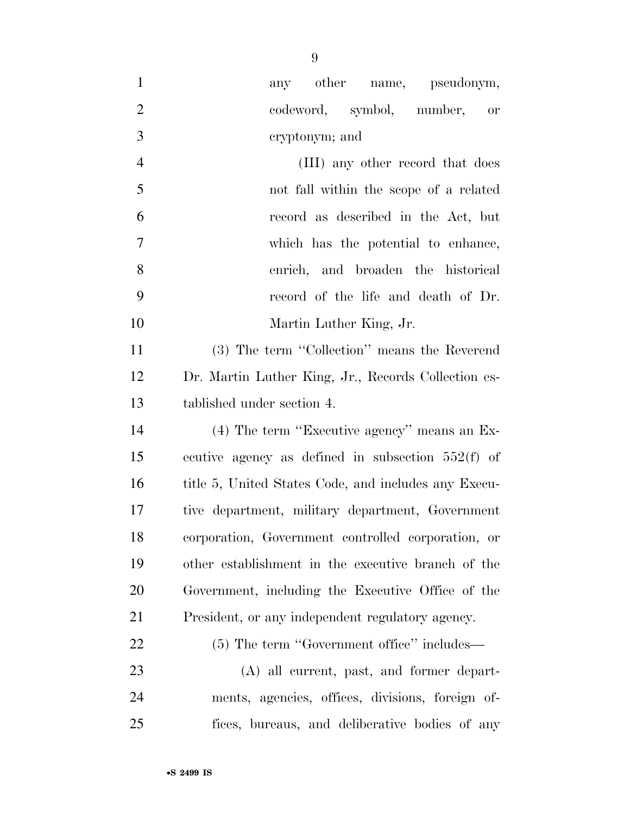| $\mathbf{1}$   | any other name, pseudonym,                           |
|----------------|------------------------------------------------------|
| $\overline{2}$ | codeword, symbol, number, or                         |
| 3              | eryptonym; and                                       |
| $\overline{4}$ | (III) any other record that does                     |
| 5              | not fall within the scope of a related               |
| 6              | record as described in the Act, but                  |
| $\overline{7}$ | which has the potential to enhance,                  |
| 8              | enrich, and broaden the historical                   |
| 9              | record of the life and death of Dr.                  |
| 10             | Martin Luther King, Jr.                              |
| 11             | (3) The term "Collection" means the Reverend         |
| 12             | Dr. Martin Luther King, Jr., Records Collection es-  |
| 13             | tablished under section 4.                           |
| 14             | $(4)$ The term "Executive agency" means an Ex-       |
| 15             | ecutive agency as defined in subsection $552(f)$ of  |
| 16             | title 5, United States Code, and includes any Execu- |
| 17             | tive department, military department, Government     |
| 18             | corporation, Government controlled corporation, or   |
| 19             | other establishment in the executive branch of the   |
| 20             | Government, including the Executive Office of the    |
| 21             | President, or any independent regulatory agency.     |
| <u>22</u>      | (5) The term "Government office" includes—           |
| 23             | (A) all current, past, and former depart-            |
| 24             | ments, agencies, offices, divisions, foreign of-     |
| 25             | fices, bureaus, and deliberative bodies of any       |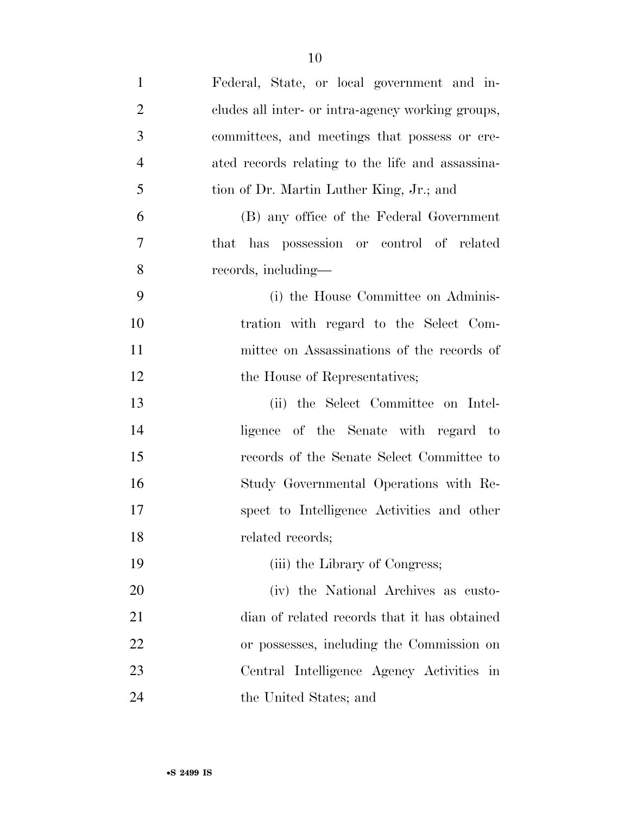| $\mathbf{1}$   | Federal, State, or local government and in-       |
|----------------|---------------------------------------------------|
| $\mathfrak{2}$ | cludes all inter- or intra-agency working groups, |
| 3              | committees, and meetings that possess or cre-     |
| $\overline{4}$ | ated records relating to the life and assassina-  |
| 5              | tion of Dr. Martin Luther King, Jr.; and          |
| 6              | (B) any office of the Federal Government          |
| $\overline{7}$ | that has possession or control of related         |
| 8              | records, including—                               |
| 9              | (i) the House Committee on Adminis-               |
| 10             | tration with regard to the Select Com-            |
| 11             | mittee on Assassinations of the records of        |
| 12             | the House of Representatives;                     |
| 13             | (ii) the Select Committee on Intel-               |
| 14             | ligence of the Senate with regard to              |
| 15             | records of the Senate Select Committee to         |
| 16             | Study Governmental Operations with Re-            |
| 17             | spect to Intelligence Activities and other        |
| 18             | related records;                                  |
| 19             | (iii) the Library of Congress;                    |
| 20             | (iv) the National Archives as custo-              |
| 21             | dian of related records that it has obtained      |
| 22             | or possesses, including the Commission on         |
| 23             | Central Intelligence Agency Activities in         |
| 24             | the United States; and                            |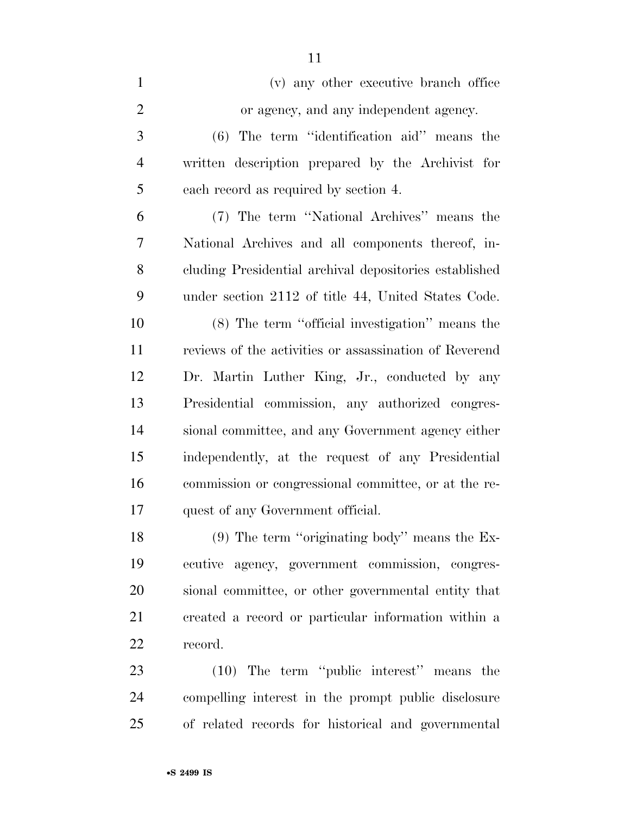| $\mathbf{1}$   | (v) any other executive branch office                  |
|----------------|--------------------------------------------------------|
| $\mathbf{2}$   | or agency, and any independent agency.                 |
| 3              | $(6)$ The term "identification aid" means the          |
| $\overline{4}$ | written description prepared by the Archivist for      |
| 5              | each record as required by section 4.                  |
| 6              | (7) The term "National Archives" means the             |
| $\overline{7}$ | National Archives and all components thereof, in-      |
| 8              | cluding Presidential archival depositories established |
| 9              | under section 2112 of title 44, United States Code.    |
| 10             | (8) The term "official investigation" means the        |
| 11             | reviews of the activities or assassination of Reverend |
| 12             | Dr. Martin Luther King, Jr., conducted by any          |
| 13             | Presidential commission, any authorized congres-       |
| 14             | sional committee, and any Government agency either     |
| 15             | independently, at the request of any Presidential      |
| 16             | commission or congressional committee, or at the re-   |
| 17             | quest of any Government official.                      |
| 18             | $(9)$ The term "originating body" means the Ex-        |
| 19             | ecutive agency, government commission, congres-        |

 sional committee, or other governmental entity that created a record or particular information within a record.

 (10) The term ''public interest'' means the compelling interest in the prompt public disclosure of related records for historical and governmental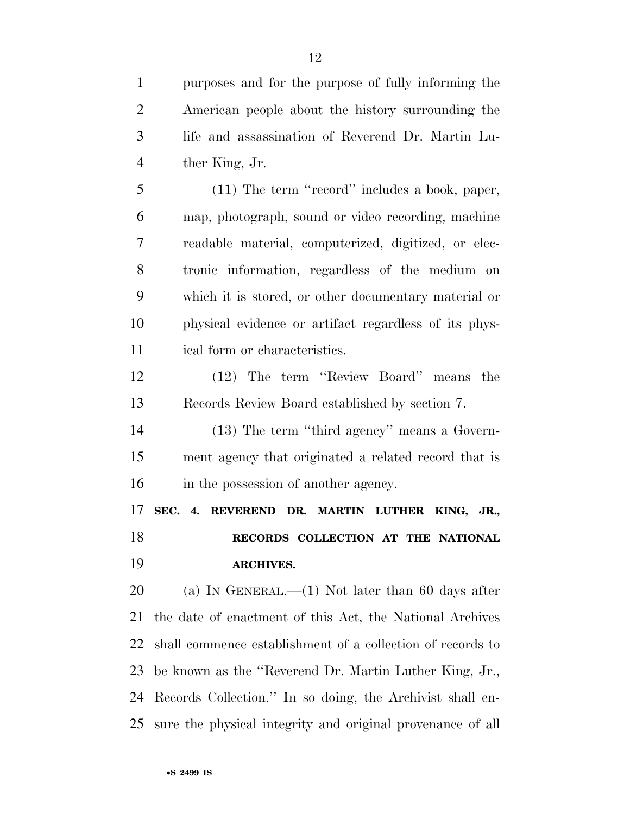purposes and for the purpose of fully informing the American people about the history surrounding the life and assassination of Reverend Dr. Martin Lu- ther King, Jr. (11) The term ''record'' includes a book, paper,

 map, photograph, sound or video recording, machine readable material, computerized, digitized, or elec- tronic information, regardless of the medium on which it is stored, or other documentary material or physical evidence or artifact regardless of its phys-ical form or characteristics.

 (12) The term ''Review Board'' means the Records Review Board established by section 7.

 (13) The term ''third agency'' means a Govern- ment agency that originated a related record that is in the possession of another agency.

 **SEC. 4. REVEREND DR. MARTIN LUTHER KING, JR., RECORDS COLLECTION AT THE NATIONAL ARCHIVES.** 

20 (a) IN GENERAL.—(1) Not later than 60 days after the date of enactment of this Act, the National Archives shall commence establishment of a collection of records to be known as the ''Reverend Dr. Martin Luther King, Jr., Records Collection.'' In so doing, the Archivist shall en-sure the physical integrity and original provenance of all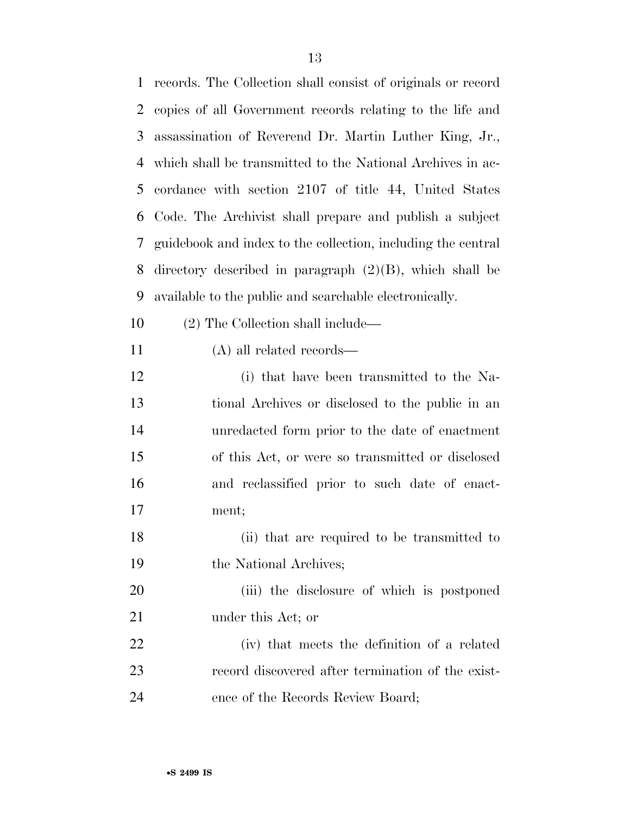| $\mathbf{1}$ | records. The Collection shall consist of originals or record |
|--------------|--------------------------------------------------------------|
| 2            | copies of all Government records relating to the life and    |
| 3            | assassination of Reverend Dr. Martin Luther King, Jr.,       |
| 4            | which shall be transmitted to the National Archives in ac-   |
| 5            | cordance with section 2107 of title 44, United States        |
| 6            | Code. The Archivist shall prepare and publish a subject      |
| 7            | guidebook and index to the collection, including the central |
| 8            | directory described in paragraph $(2)(B)$ , which shall be   |
| 9            | available to the public and searchable electronically.       |
| 10           | (2) The Collection shall include—                            |
| 11           | $(A)$ all related records—                                   |
| 12           | (i) that have been transmitted to the Na-                    |
| 13           | tional Archives or disclosed to the public in an             |
| 14           | unredacted form prior to the date of enactment               |
| 15           | of this Act, or were so transmitted or disclosed             |
| 16           | and reclassified prior to such date of enact-                |
| 17           | ment;                                                        |
| 18           | (ii) that are required to be transmitted to                  |
| 19           | the National Archives;                                       |
| 20           | (iii) the disclosure of which is postponed                   |
| 21           | under this Act; or                                           |
| 22           | (iv) that meets the definition of a related                  |
| 23           | record discovered after termination of the exist-            |
| 24           | ence of the Records Review Board;                            |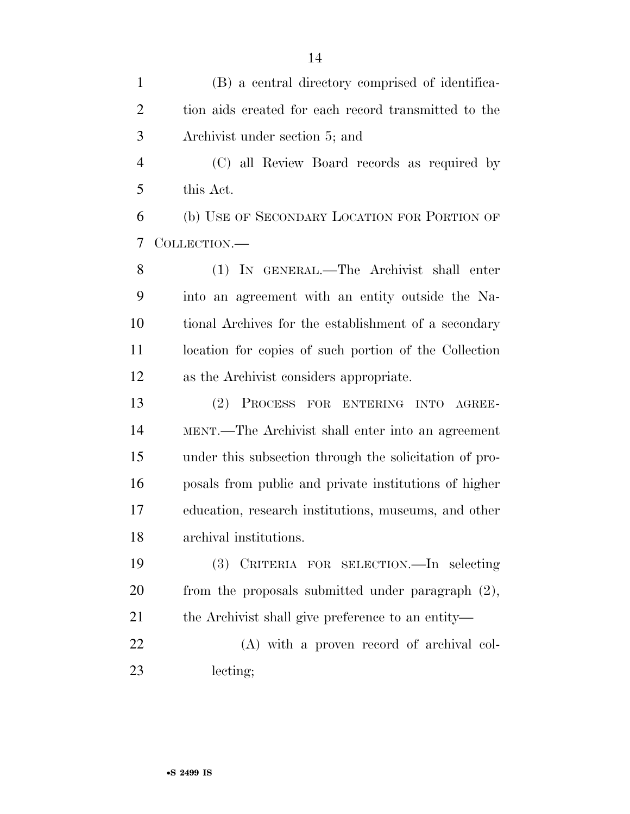(B) a central directory comprised of identifica- tion aids created for each record transmitted to the Archivist under section 5; and (C) all Review Board records as required by this Act. (b) USE OF SECONDARY LOCATION FOR PORTION OF COLLECTION.— (1) IN GENERAL.—The Archivist shall enter into an agreement with an entity outside the Na- tional Archives for the establishment of a secondary location for copies of such portion of the Collection as the Archivist considers appropriate. (2) PROCESS FOR ENTERING INTO AGREE- MENT.—The Archivist shall enter into an agreement under this subsection through the solicitation of pro- posals from public and private institutions of higher education, research institutions, museums, and other archival institutions. (3) CRITERIA FOR SELECTION.—In selecting from the proposals submitted under paragraph (2), the Archivist shall give preference to an entity— (A) with a proven record of archival col-lecting;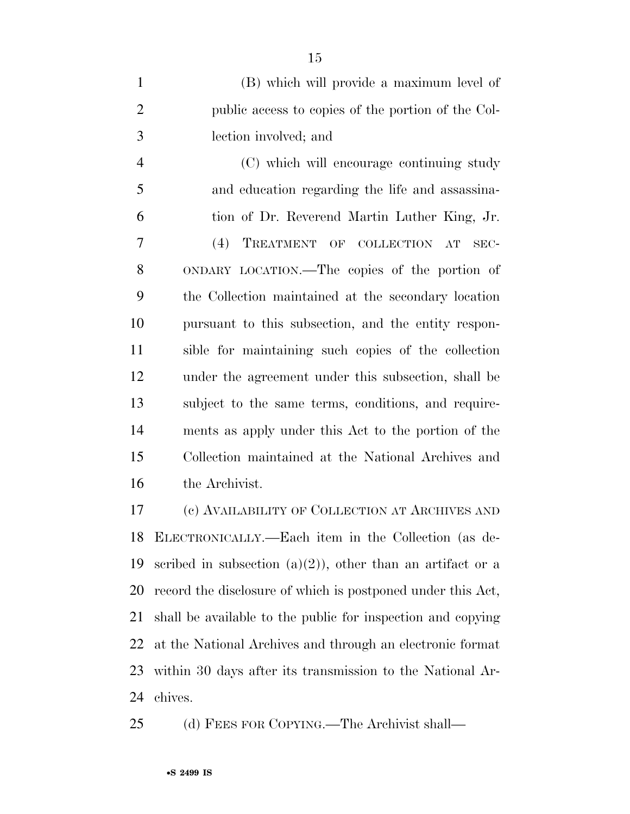| $\mathbf{1}$   | (B) which will provide a maximum level of           |
|----------------|-----------------------------------------------------|
| $\overline{2}$ | public access to copies of the portion of the Col-  |
| 3              | lection involved; and                               |
| $\overline{4}$ | (C) which will encourage continuing study           |
| 5              | and education regarding the life and assassina-     |
| 6              | tion of Dr. Reverend Martin Luther King, Jr.        |
| 7              | (4) TREATMENT OF COLLECTION AT<br>SEC-              |
| 8              | ONDARY LOCATION.—The copies of the portion of       |
| 9              | the Collection maintained at the secondary location |
| 10             | pursuant to this subsection, and the entity respon- |
| 11             | sible for maintaining such copies of the collection |
| 12             | under the agreement under this subsection, shall be |
| 13             | subject to the same terms, conditions, and require- |
| 14             | ments as apply under this Act to the portion of the |

 Collection maintained at the National Archives and the Archivist.

 (c) AVAILABILITY OF COLLECTION AT ARCHIVES AND ELECTRONICALLY.—Each item in the Collection (as de-19 scribed in subsection  $(a)(2)$ , other than an artifact or a record the disclosure of which is postponed under this Act, shall be available to the public for inspection and copying at the National Archives and through an electronic format within 30 days after its transmission to the National Ar-chives.

(d) FEES FOR COPYING.—The Archivist shall—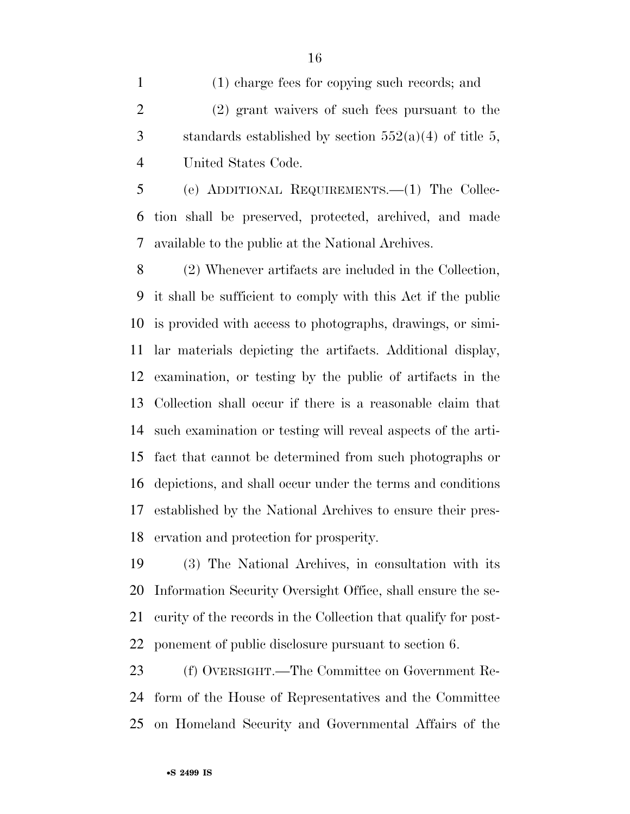(1) charge fees for copying such records; and (2) grant waivers of such fees pursuant to the 3 standards established by section  $552(a)(4)$  of title 5, United States Code.

 (e) ADDITIONAL REQUIREMENTS.—(1) The Collec- tion shall be preserved, protected, archived, and made available to the public at the National Archives.

 (2) Whenever artifacts are included in the Collection, it shall be sufficient to comply with this Act if the public is provided with access to photographs, drawings, or simi- lar materials depicting the artifacts. Additional display, examination, or testing by the public of artifacts in the Collection shall occur if there is a reasonable claim that such examination or testing will reveal aspects of the arti- fact that cannot be determined from such photographs or depictions, and shall occur under the terms and conditions established by the National Archives to ensure their pres-ervation and protection for prosperity.

 (3) The National Archives, in consultation with its Information Security Oversight Office, shall ensure the se- curity of the records in the Collection that qualify for post-ponement of public disclosure pursuant to section 6.

 (f) OVERSIGHT.—The Committee on Government Re- form of the House of Representatives and the Committee on Homeland Security and Governmental Affairs of the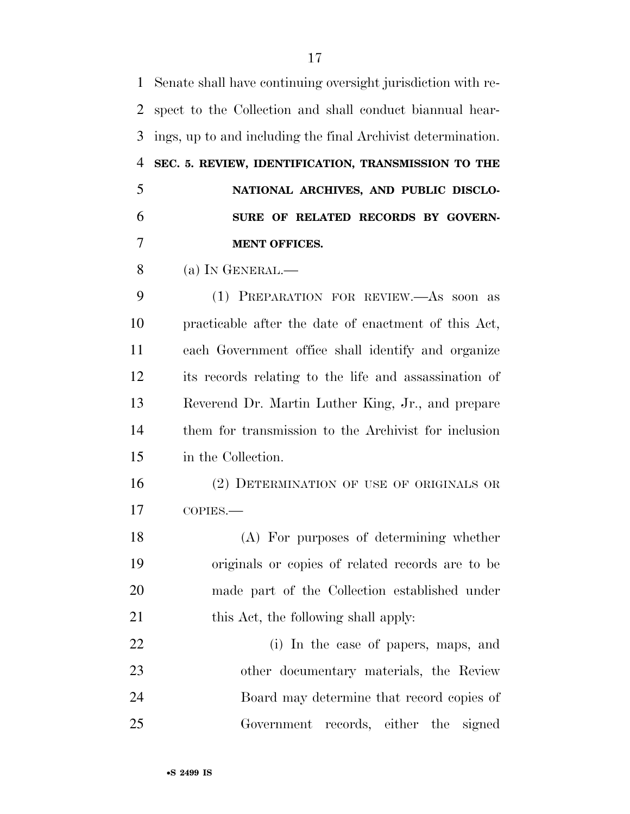| $\mathbf{1}$   | Senate shall have continuing oversight jurisdiction with re- |
|----------------|--------------------------------------------------------------|
| $\overline{2}$ | spect to the Collection and shall conduct biannual hear-     |
| 3              | ings, up to and including the final Archivist determination. |
| $\overline{4}$ | SEC. 5. REVIEW, IDENTIFICATION, TRANSMISSION TO THE          |
| 5              | NATIONAL ARCHIVES, AND PUBLIC DISCLO-                        |
| 6              | SURE OF RELATED RECORDS BY GOVERN-                           |
| 7              | <b>MENT OFFICES.</b>                                         |
| 8              | (a) IN GENERAL.—                                             |
| 9              | (1) PREPARATION FOR REVIEW.—As soon as                       |
| 10             | practicable after the date of enactment of this Act,         |
| 11             | each Government office shall identify and organize           |
| 12             | its records relating to the life and assassination of        |
| 13             | Reverend Dr. Martin Luther King, Jr., and prepare            |
| 14             | them for transmission to the Archivist for inclusion         |
| 15             | in the Collection.                                           |
| 16             | (2) DETERMINATION OF USE OF ORIGINALS OR                     |
| 17             | COPIES.                                                      |
| 18             | (A) For purposes of determining whether                      |
| 19             | originals or copies of related records are to be             |
| 20             | made part of the Collection established under                |
| 21             | this Act, the following shall apply:                         |
| 22             | (i) In the case of papers, maps, and                         |
| 23             | other documentary materials, the Review                      |
| 24             | Board may determine that record copies of                    |
| 25             | Government records, either the signed                        |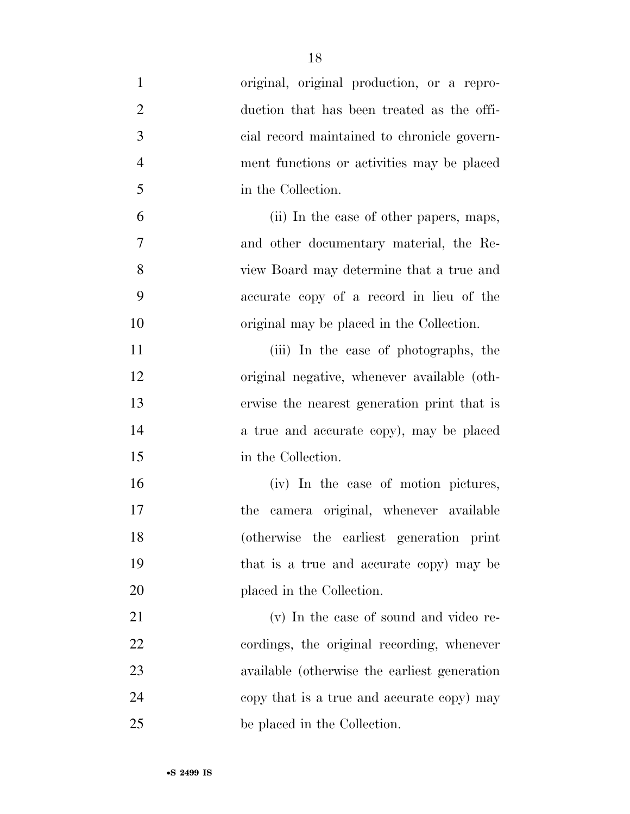| $\mathbf{1}$   | original, original production, or a repro-   |
|----------------|----------------------------------------------|
| $\overline{2}$ | duction that has been treated as the offi-   |
| 3              | cial record maintained to chronicle govern-  |
| $\overline{4}$ | ment functions or activities may be placed   |
| 5              | in the Collection.                           |
| 6              | (ii) In the case of other papers, maps,      |
| 7              | and other documentary material, the Re-      |
| 8              | view Board may determine that a true and     |
| 9              | accurate copy of a record in lieu of the     |
| 10             | original may be placed in the Collection.    |
| 11             | (iii) In the case of photographs, the        |
| 12             | original negative, whenever available (oth-  |
| 13             | erwise the nearest generation print that is  |
| 14             | a true and accurate copy), may be placed     |
| 15             | in the Collection.                           |
| 16             | (iv) In the case of motion pictures,         |
| 17             | camera original, whenever available<br>the   |
| 18             | (otherwise the earliest generation print     |
| 19             | that is a true and accurate copy) may be     |
| 20             | placed in the Collection.                    |
| 21             | (v) In the case of sound and video re-       |
| 22             | cordings, the original recording, whenever   |
| 23             | available (otherwise the earliest generation |
| 24             | copy that is a true and accurate copy) may   |
| 25             | be placed in the Collection.                 |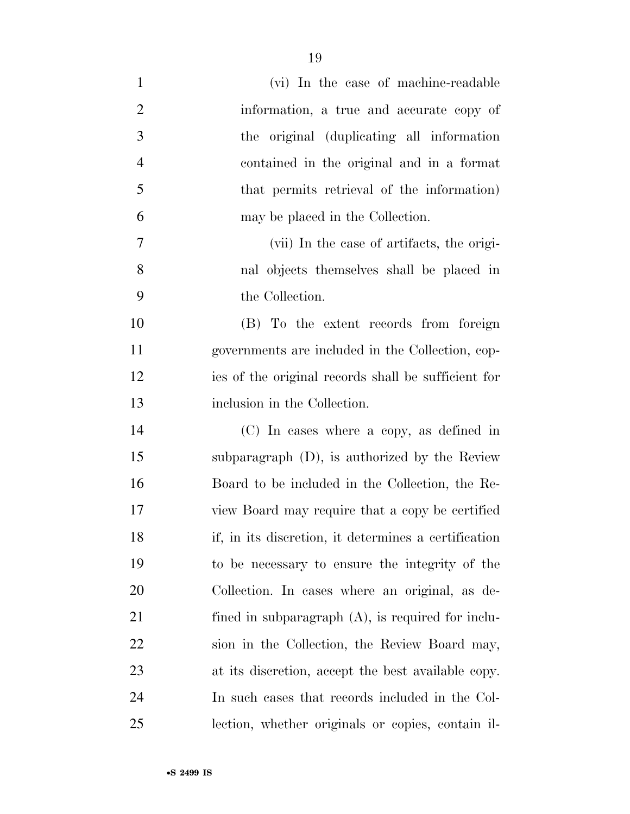| $\mathbf{1}$   | (vi) In the case of machine-readable                 |
|----------------|------------------------------------------------------|
| $\overline{2}$ | information, a true and accurate copy of             |
| 3              | the original (duplicating all information            |
| $\overline{4}$ | contained in the original and in a format            |
| 5              | that permits retrieval of the information)           |
| 6              | may be placed in the Collection.                     |
| 7              | (vii) In the case of artifacts, the origi-           |
| 8              | nal objects themselves shall be placed in            |
| 9              | the Collection.                                      |
| 10             | (B) To the extent records from foreign               |
| 11             | governments are included in the Collection, cop-     |
| 12             | ies of the original records shall be sufficient for  |
| 13             | inclusion in the Collection.                         |
| 14             | (C) In cases where a copy, as defined in             |
| 15             | subparagraph $(D)$ , is authorized by the Review     |
| 16             | Board to be included in the Collection, the Re-      |
| 17             | view Board may require that a copy be certified      |
| 18             | if, in its discretion, it determines a certification |
| 19             | to be necessary to ensure the integrity of the       |
| 20             | Collection. In cases where an original, as de-       |
| 21             | fined in subparagraph $(A)$ , is required for inclu- |
| <u>22</u>      | sion in the Collection, the Review Board may,        |
| 23             | at its discretion, accept the best available copy.   |
| 24             | In such cases that records included in the Col-      |
| 25             | lection, whether originals or copies, contain il-    |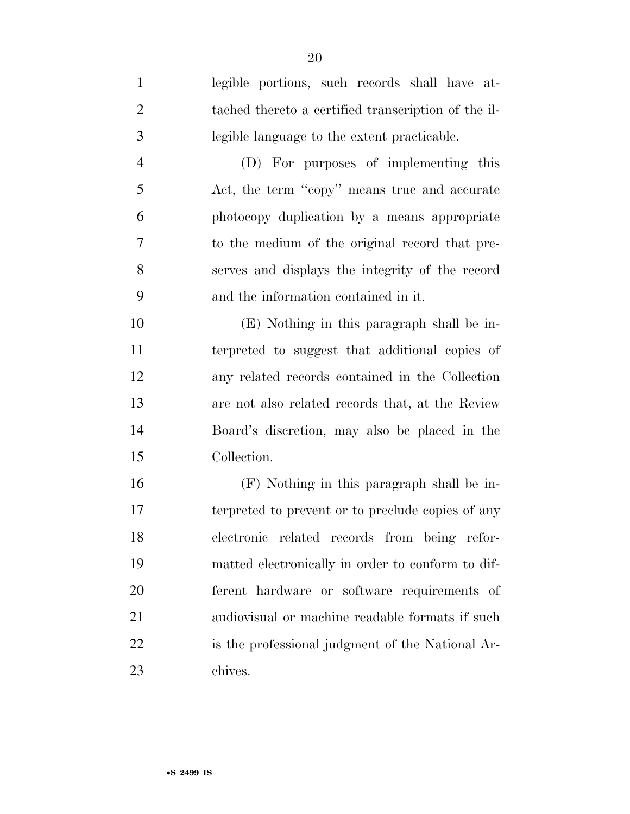| $\mathbf{1}$   | legible portions, such records shall have at-       |
|----------------|-----------------------------------------------------|
| $\overline{2}$ | tached thereto a certified transcription of the il- |
| 3              | legible language to the extent practicable.         |
| $\overline{4}$ | (D) For purposes of implementing this               |
| 5              | Act, the term "copy" means true and accurate        |
| 6              | photocopy duplication by a means appropriate        |
| 7              | to the medium of the original record that pre-      |
| 8              | serves and displays the integrity of the record     |
| 9              | and the information contained in it.                |
| 10             | (E) Nothing in this paragraph shall be in-          |
| 11             | terpreted to suggest that additional copies of      |
| 12             | any related records contained in the Collection     |
| 13             | are not also related records that, at the Review    |
| 14             | Board's discretion, may also be placed in the       |
| 15             | Collection.                                         |
| 16             | (F) Nothing in this paragraph shall be in-          |
| 17             | terpreted to prevent or to preclude copies of any   |
| 18             | electronic related records from being refor-        |
| 19             | matted electronically in order to conform to dif-   |
| 20             | ferent hardware or software requirements of         |
| 21             | audiovisual or machine readable formats if such     |

is the professional judgment of the National Ar-

chives.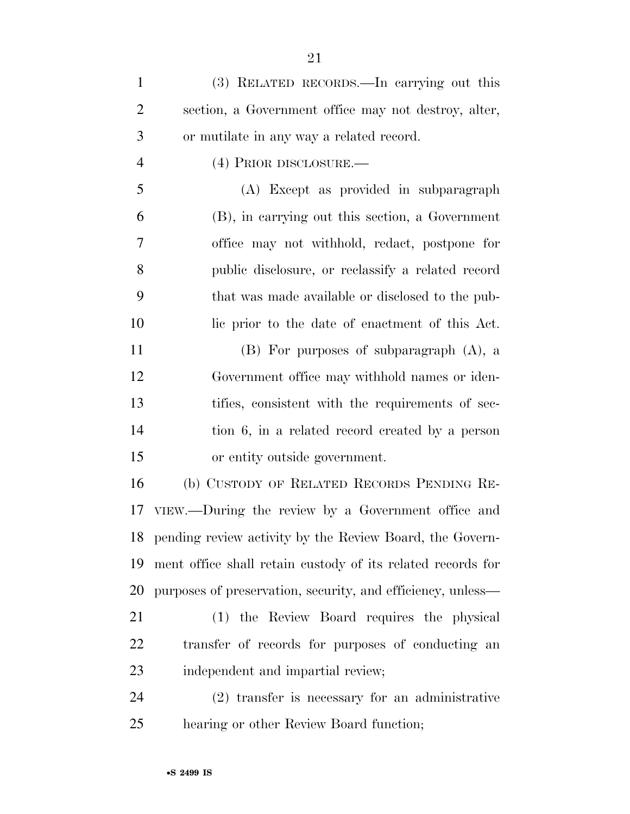(3) RELATED RECORDS.—In carrying out this section, a Government office may not destroy, alter, or mutilate in any way a related record.

(4) PRIOR DISCLOSURE.—

 (A) Except as provided in subparagraph (B), in carrying out this section, a Government office may not withhold, redact, postpone for public disclosure, or reclassify a related record that was made available or disclosed to the pub-lic prior to the date of enactment of this Act.

 (B) For purposes of subparagraph (A), a Government office may withhold names or iden- tifies, consistent with the requirements of sec- tion 6, in a related record created by a person or entity outside government.

 (b) CUSTODY OF RELATED RECORDS PENDING RE- VIEW.—During the review by a Government office and pending review activity by the Review Board, the Govern- ment office shall retain custody of its related records for purposes of preservation, security, and efficiency, unless—

 (1) the Review Board requires the physical transfer of records for purposes of conducting an independent and impartial review;

 (2) transfer is necessary for an administrative hearing or other Review Board function;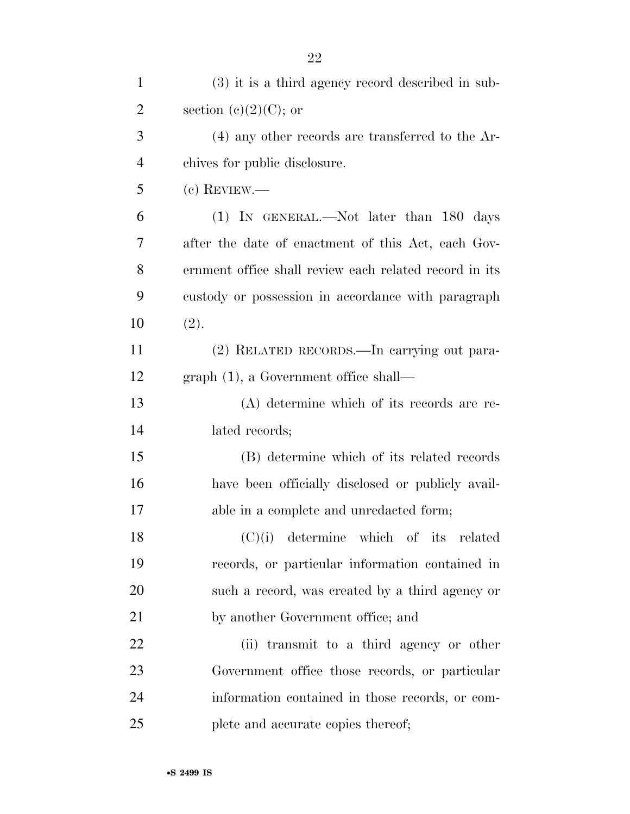| $\mathbf{1}$   | $(3)$ it is a third agency record described in sub-    |
|----------------|--------------------------------------------------------|
| $\overline{2}$ | section (c) $(2)(C)$ ; or                              |
| 3              | $(4)$ any other records are transferred to the Ar-     |
| $\overline{4}$ | chives for public disclosure.                          |
| 5              | $(c)$ REVIEW.—                                         |
| 6              | (1) IN GENERAL.—Not later than 180 days                |
| 7              | after the date of enactment of this Act, each Gov-     |
| 8              | ernment office shall review each related record in its |
| 9              | custody or possession in accordance with paragraph     |
| 10             | (2).                                                   |
| 11             | (2) RELATED RECORDS.—In carrying out para-             |
| 12             | $graph(1)$ , a Government office shall—                |
| 13             | (A) determine which of its records are re-             |
| 14             | lated records;                                         |
| 15             | (B) determine which of its related records             |
| 16             | have been officially disclosed or publicly avail-      |
| 17             | able in a complete and unredacted form;                |
| 18             | $(C)(i)$ determine which of its related                |
| 19             | records, or particular information contained in        |
| 20             | such a record, was created by a third agency or        |
| 21             | by another Government office; and                      |
| 22             | (ii) transmit to a third agency or other               |
| 23             | Government office those records, or particular         |
| 24             | information contained in those records, or com-        |
| 25             | plete and accurate copies thereof;                     |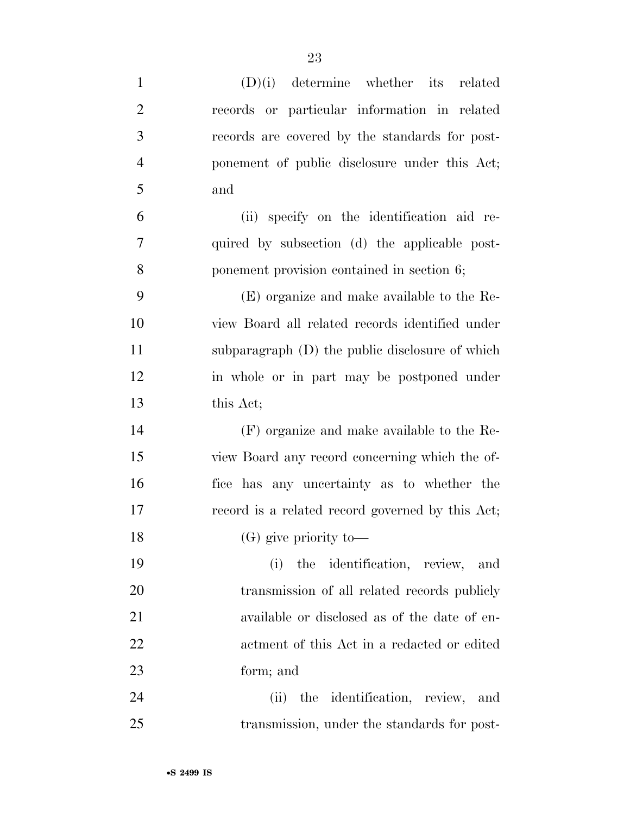| $\mathbf{1}$   | $(D)(i)$ determine whether its related           |
|----------------|--------------------------------------------------|
| $\overline{2}$ | records or particular information in related     |
| 3              | records are covered by the standards for post-   |
| $\overline{4}$ | ponement of public disclosure under this Act;    |
| 5              | and                                              |
| 6              | (ii) specify on the identification aid re-       |
| 7              | quired by subsection (d) the applicable post-    |
| 8              | ponement provision contained in section 6;       |
| 9              | (E) organize and make available to the Re-       |
| 10             | view Board all related records identified under  |
| 11             | subparagraph (D) the public disclosure of which  |
| 12             | in whole or in part may be postponed under       |
| 13             | this Act;                                        |
| 14             | (F) organize and make available to the Re-       |
| 15             | view Board any record concerning which the of-   |
| 16             | fice has any uncertainty as to whether the       |
| 17             | record is a related record governed by this Act; |
| 18             | $(G)$ give priority to —                         |
| 19             | the identification, review, and<br>(i)           |
| 20             | transmission of all related records publicly     |
| 21             | available or disclosed as of the date of en-     |
| 22             | actment of this Act in a redacted or edited      |
| 23             | form; and                                        |
| 24             | (ii) the identification, review, and             |
| 25             | transmission, under the standards for post-      |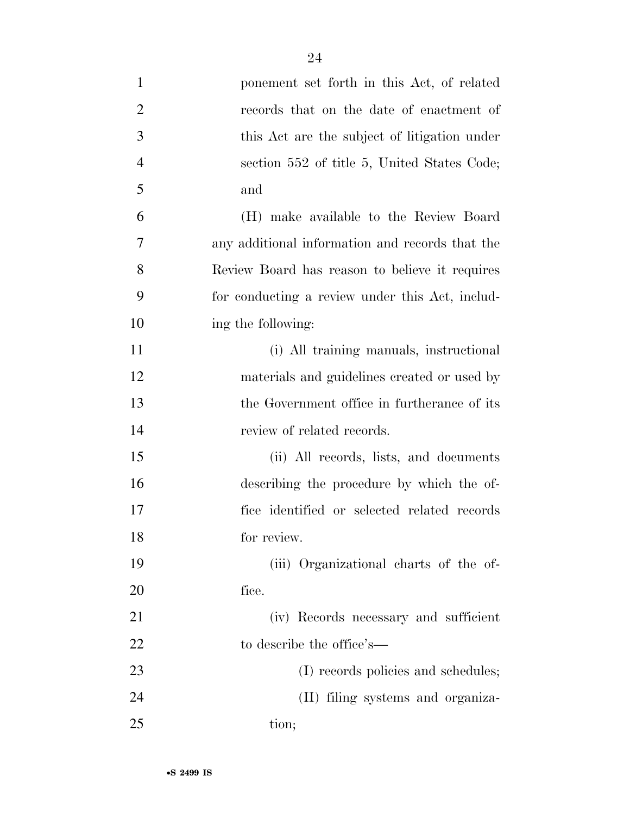| $\mathbf{1}$   | ponement set forth in this Act, of related      |
|----------------|-------------------------------------------------|
| $\overline{c}$ | records that on the date of enactment of        |
| 3              | this Act are the subject of litigation under    |
| $\overline{4}$ | section 552 of title 5, United States Code;     |
| 5              | and                                             |
| 6              | (H) make available to the Review Board          |
| 7              | any additional information and records that the |
| 8              | Review Board has reason to believe it requires  |
| 9              | for conducting a review under this Act, includ- |
| 10             | ing the following:                              |
| 11             | (i) All training manuals, instructional         |
| 12             | materials and guidelines created or used by     |
| 13             | the Government office in furtherance of its     |
| 14             | review of related records.                      |
| 15             | (ii) All records, lists, and documents          |
| 16             | describing the procedure by which the of-       |
| 17             | fice identified or selected related records     |
| 18             | for review.                                     |
| 19             | (iii) Organizational charts of the of-          |
| 20             | fice.                                           |
| 21             | (iv) Records necessary and sufficient           |
| 22             | to describe the office's—                       |
| 23             | (I) records policies and schedules;             |
| 24             | (II) filing systems and organiza-               |
| 25             | tion;                                           |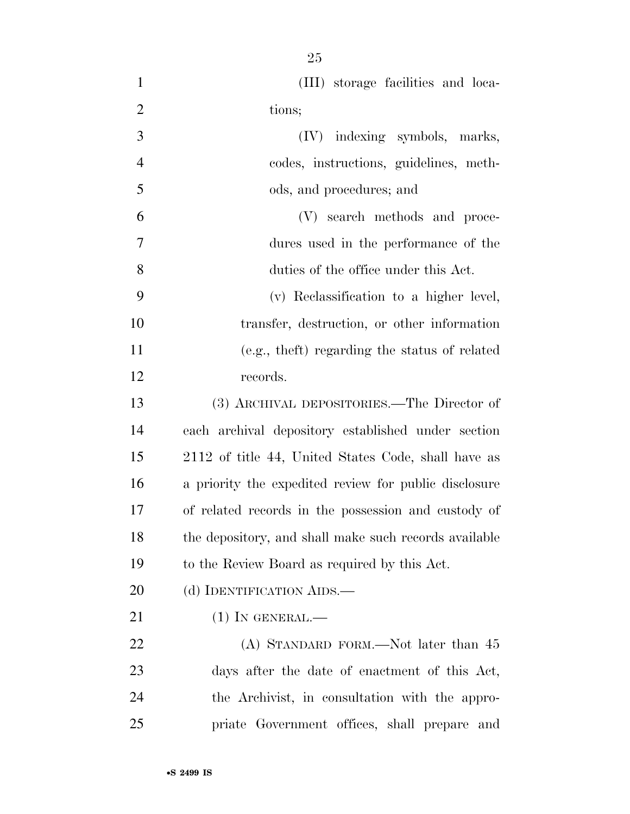| $\mathbf{1}$   | (III) storage facilities and loca-                    |
|----------------|-------------------------------------------------------|
| $\overline{2}$ | tions;                                                |
| 3              | (IV) indexing symbols, marks,                         |
| $\overline{4}$ | codes, instructions, guidelines, meth-                |
| 5              | ods, and procedures; and                              |
| 6              | (V) search methods and proce-                         |
| $\overline{7}$ | dures used in the performance of the                  |
| 8              | duties of the office under this Act.                  |
| 9              | (v) Reclassification to a higher level,               |
| 10             | transfer, destruction, or other information           |
| 11             | (e.g., the ft) regarding the status of related        |
| 12             | records.                                              |
| 13             | (3) ARCHIVAL DEPOSITORIES.—The Director of            |
| 14             | each archival depository established under section    |
| 15             | 2112 of title 44, United States Code, shall have as   |
| 16             | a priority the expedited review for public disclosure |
| 17             | of related records in the possession and custody of   |
| 18             | the depository, and shall make such records available |
| 19             | to the Review Board as required by this Act.          |
| 20             | (d) IDENTIFICATION AIDS.—                             |
| 21             | $(1)$ In GENERAL.—                                    |
| 22             | (A) STANDARD FORM.—Not later than 45                  |
| 23             | days after the date of enactment of this Act,         |
| 24             | the Archivist, in consultation with the appro-        |
| 25             | priate Government offices, shall prepare and          |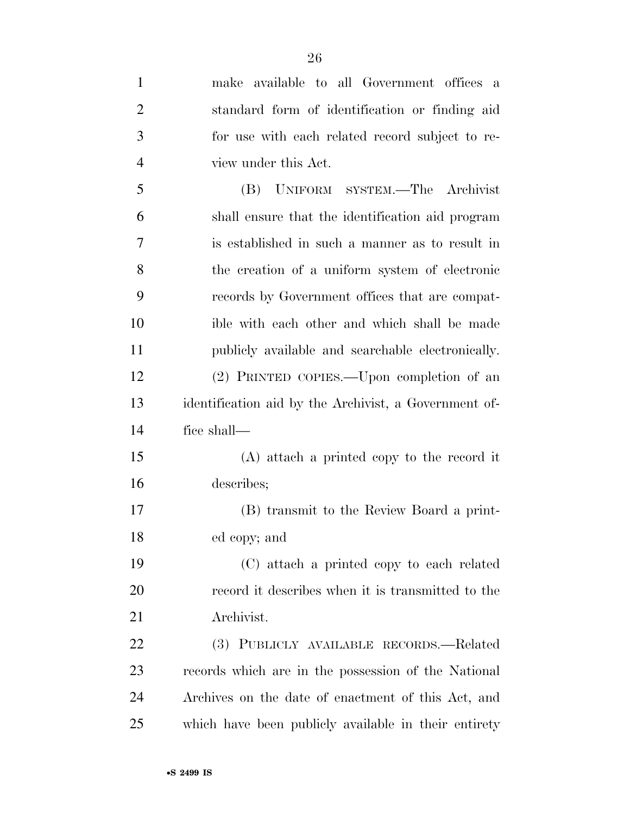| $\mathbf{1}$   | make available to all Government offices a            |
|----------------|-------------------------------------------------------|
| $\overline{2}$ | standard form of identification or finding aid        |
| 3              | for use with each related record subject to re-       |
| $\overline{4}$ | view under this Act.                                  |
| 5              | UNIFORM SYSTEM.—The Archivist<br>(B)                  |
| 6              | shall ensure that the identification aid program      |
| 7              | is established in such a manner as to result in       |
| 8              | the creation of a uniform system of electronic        |
| 9              | records by Government offices that are compat-        |
| 10             | ible with each other and which shall be made          |
| 11             | publicly available and searchable electronically.     |
| 12             | (2) PRINTED COPIES.—Upon completion of an             |
| 13             | identification aid by the Archivist, a Government of- |
| 14             | fice shall-                                           |
| 15             | (A) attach a printed copy to the record it            |
| 16             | describes;                                            |
| 17             | (B) transmit to the Review Board a print-             |
| 18             | ed copy; and                                          |
| 19             | (C) attach a printed copy to each related             |
| 20             | record it describes when it is transmitted to the     |
| 21             | Archivist.                                            |
| 22             | (3) PUBLICLY AVAILABLE RECORDS.—Related               |
| 23             | records which are in the possession of the National   |
| 24             | Archives on the date of enactment of this Act, and    |
| 25             | which have been publicly available in their entirety  |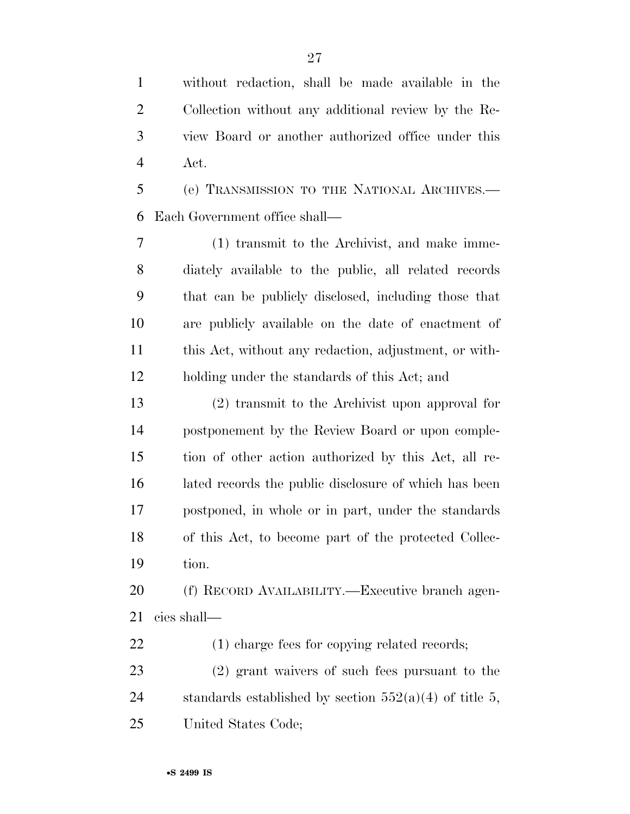without redaction, shall be made available in the Collection without any additional review by the Re- view Board or another authorized office under this Act.

 (e) TRANSMISSION TO THE NATIONAL ARCHIVES.— Each Government office shall—

 (1) transmit to the Archivist, and make imme- diately available to the public, all related records that can be publicly disclosed, including those that are publicly available on the date of enactment of this Act, without any redaction, adjustment, or with-holding under the standards of this Act; and

 (2) transmit to the Archivist upon approval for postponement by the Review Board or upon comple- tion of other action authorized by this Act, all re- lated records the public disclosure of which has been postponed, in whole or in part, under the standards of this Act, to become part of the protected Collec-tion.

 (f) RECORD AVAILABILITY.—Executive branch agen-cies shall—

(1) charge fees for copying related records;

 (2) grant waivers of such fees pursuant to the 24 standards established by section  $552(a)(4)$  of title 5, United States Code;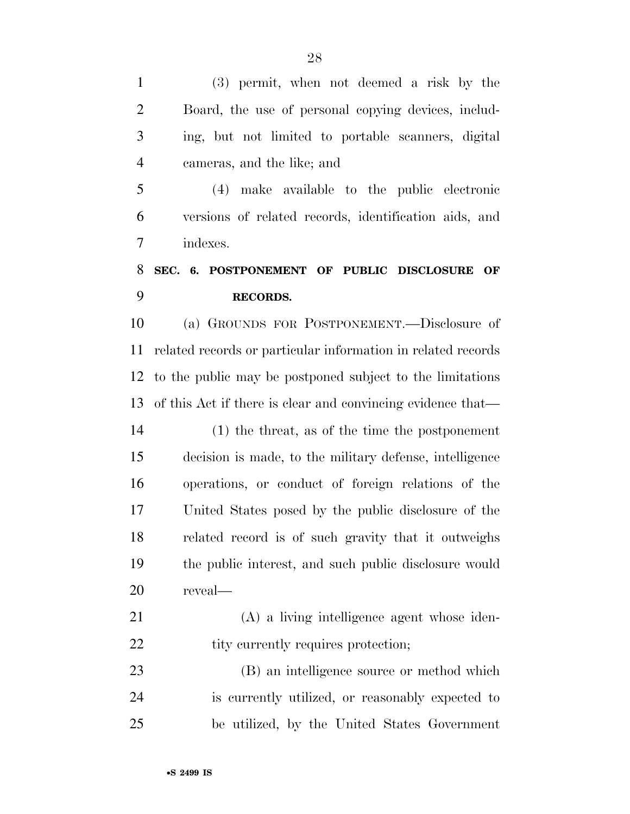(3) permit, when not deemed a risk by the Board, the use of personal copying devices, includ- ing, but not limited to portable scanners, digital cameras, and the like; and

 (4) make available to the public electronic versions of related records, identification aids, and indexes.

## **SEC. 6. POSTPONEMENT OF PUBLIC DISCLOSURE OF RECORDS.**

 (a) GROUNDS FOR POSTPONEMENT.—Disclosure of related records or particular information in related records to the public may be postponed subject to the limitations of this Act if there is clear and convincing evidence that—

 (1) the threat, as of the time the postponement decision is made, to the military defense, intelligence operations, or conduct of foreign relations of the United States posed by the public disclosure of the related record is of such gravity that it outweighs the public interest, and such public disclosure would reveal—

 (A) a living intelligence agent whose iden-22 tity currently requires protection;

 (B) an intelligence source or method which is currently utilized, or reasonably expected to be utilized, by the United States Government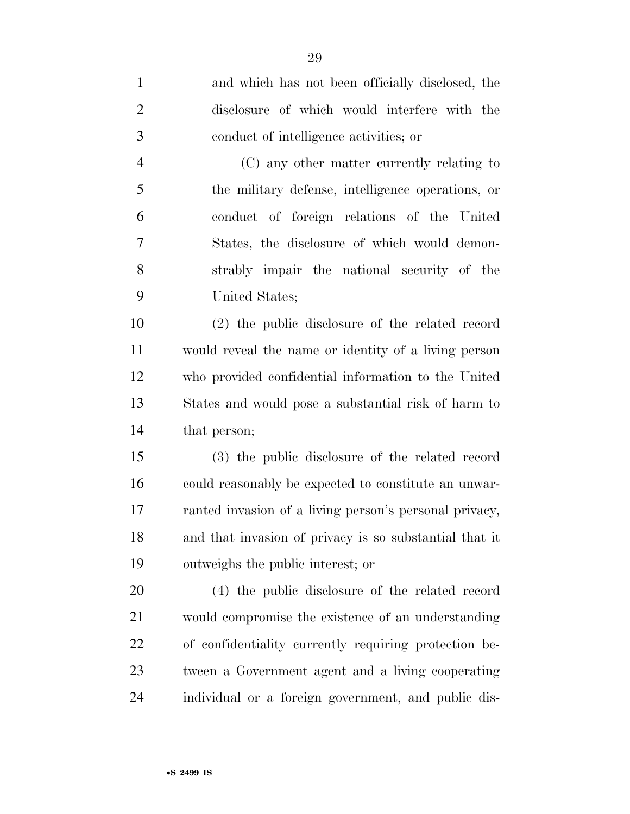and which has not been officially disclosed, the disclosure of which would interfere with the conduct of intelligence activities; or (C) any other matter currently relating to the military defense, intelligence operations, or conduct of foreign relations of the United States, the disclosure of which would demon- strably impair the national security of the United States; (2) the public disclosure of the related record would reveal the name or identity of a living person who provided confidential information to the United States and would pose a substantial risk of harm to that person; (3) the public disclosure of the related record could reasonably be expected to constitute an unwar- ranted invasion of a living person's personal privacy, and that invasion of privacy is so substantial that it outweighs the public interest; or (4) the public disclosure of the related record would compromise the existence of an understanding of confidentiality currently requiring protection be- tween a Government agent and a living cooperating individual or a foreign government, and public dis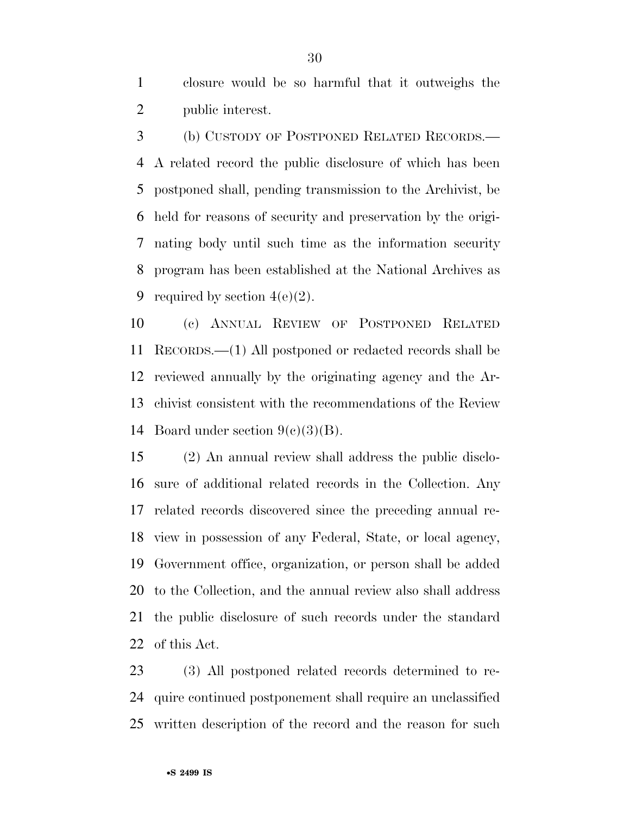closure would be so harmful that it outweighs the public interest.

 (b) CUSTODY OF POSTPONED RELATED RECORDS.— A related record the public disclosure of which has been postponed shall, pending transmission to the Archivist, be held for reasons of security and preservation by the origi- nating body until such time as the information security program has been established at the National Archives as 9 required by section  $4(e)(2)$ .

 (c) ANNUAL REVIEW OF POSTPONED RELATED RECORDS.—(1) All postponed or redacted records shall be reviewed annually by the originating agency and the Ar- chivist consistent with the recommendations of the Review 14 Board under section  $9(e)(3)(B)$ .

 (2) An annual review shall address the public disclo- sure of additional related records in the Collection. Any related records discovered since the preceding annual re- view in possession of any Federal, State, or local agency, Government office, organization, or person shall be added to the Collection, and the annual review also shall address the public disclosure of such records under the standard of this Act.

 (3) All postponed related records determined to re- quire continued postponement shall require an unclassified written description of the record and the reason for such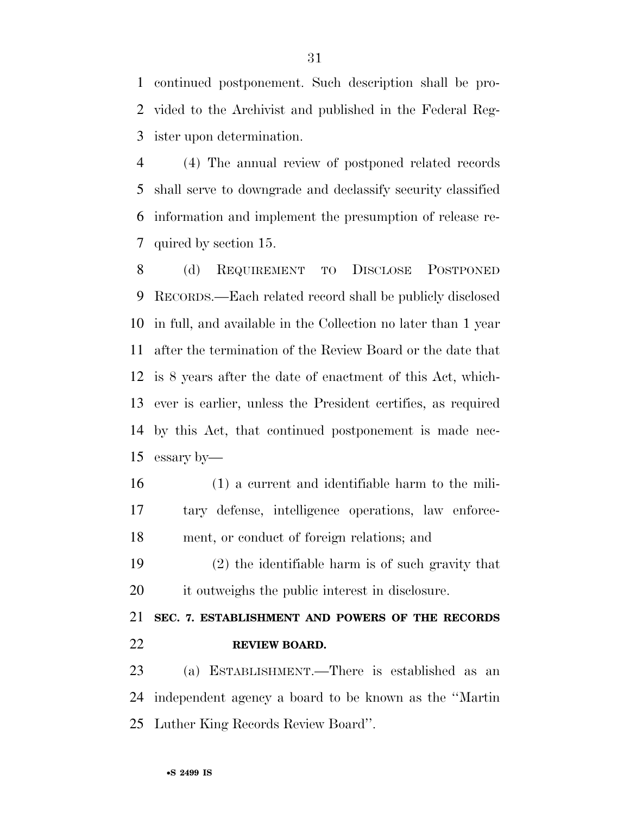continued postponement. Such description shall be pro- vided to the Archivist and published in the Federal Reg-ister upon determination.

 (4) The annual review of postponed related records shall serve to downgrade and declassify security classified information and implement the presumption of release re-quired by section 15.

 (d) REQUIREMENT TO DISCLOSE POSTPONED RECORDS.—Each related record shall be publicly disclosed in full, and available in the Collection no later than 1 year after the termination of the Review Board or the date that is 8 years after the date of enactment of this Act, which- ever is earlier, unless the President certifies, as required by this Act, that continued postponement is made nec-essary by—

- (1) a current and identifiable harm to the mili- tary defense, intelligence operations, law enforce-ment, or conduct of foreign relations; and
- (2) the identifiable harm is of such gravity that it outweighs the public interest in disclosure.

## **SEC. 7. ESTABLISHMENT AND POWERS OF THE RECORDS REVIEW BOARD.**

 (a) ESTABLISHMENT.—There is established as an independent agency a board to be known as the ''Martin Luther King Records Review Board''.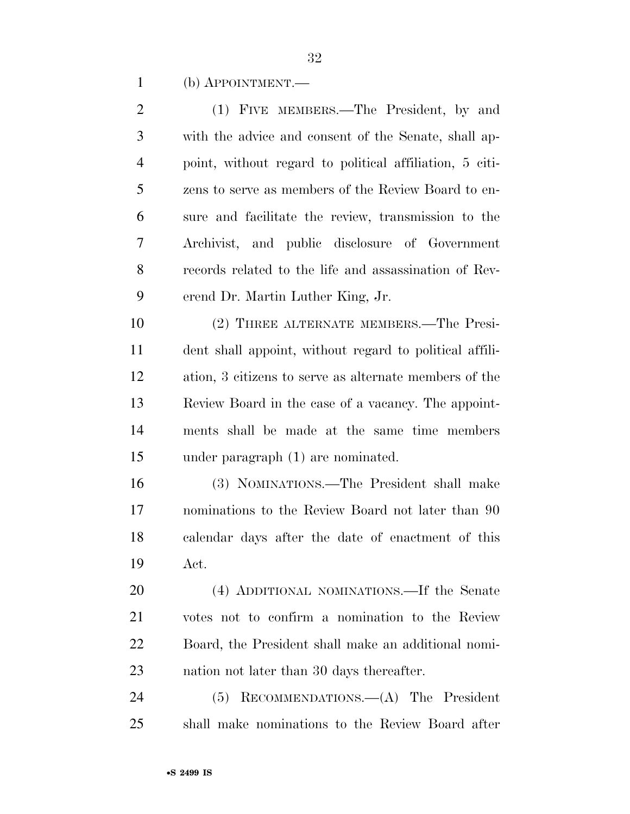(b) APPOINTMENT.—

| $\overline{2}$ | (1) FIVE MEMBERS.—The President, by and                 |
|----------------|---------------------------------------------------------|
| 3              | with the advice and consent of the Senate, shall ap-    |
| $\overline{4}$ | point, without regard to political affiliation, 5 citi- |
| 5              | zens to serve as members of the Review Board to en-     |
| 6              | sure and facilitate the review, transmission to the     |
| 7              | Archivist, and public disclosure of Government          |
| 8              | records related to the life and assassination of Rev-   |
| 9              | erend Dr. Martin Luther King, Jr.                       |
| 10             | (2) THREE ALTERNATE MEMBERS.—The Presi-                 |
| 11             | dent shall appoint, without regard to political affili- |
| 12             | ation, 3 citizens to serve as alternate members of the  |
| 13             | Review Board in the case of a vacancy. The appoint-     |
| 14             | ments shall be made at the same time members            |
| 15             | under paragraph (1) are nominated.                      |
| 16             | (3) NOMINATIONS.—The President shall make               |
| 17             | nominations to the Review Board not later than 90       |
| 18             | calendar days after the date of enactment of this       |
| 19             | Act.                                                    |
| 20             | (4) ADDITIONAL NOMINATIONS.—If the Senate               |
| 21             | votes not to confirm a nomination to the Review         |
| <u>22</u>      | Board, the President shall make an additional nomi-     |
| 23             | nation not later than 30 days thereafter.               |
| 24             | RECOMMENDATIONS. $-(A)$ The President<br>(5)            |
| 25             | shall make nominations to the Review Board after        |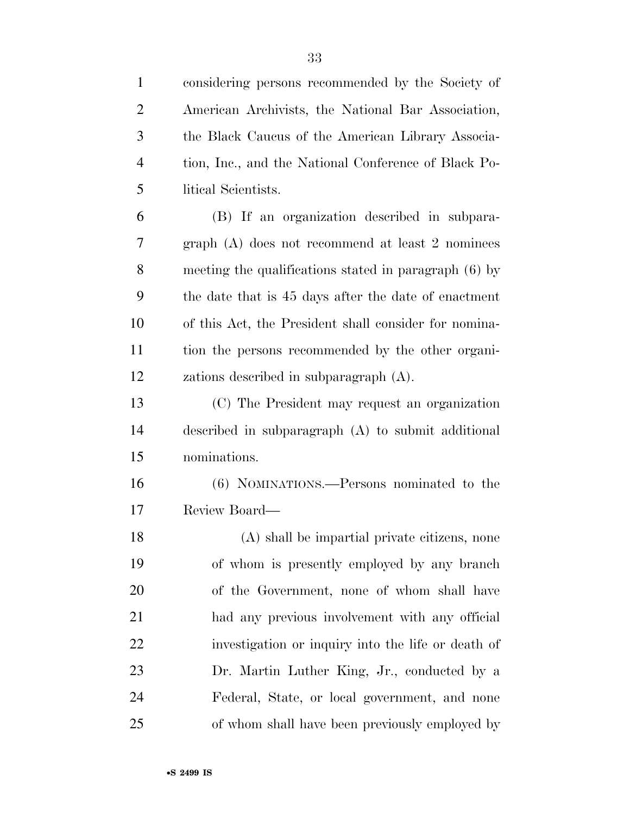| $\mathbf{1}$   | considering persons recommended by the Society of     |
|----------------|-------------------------------------------------------|
| $\overline{2}$ | American Archivists, the National Bar Association,    |
| 3              | the Black Caucus of the American Library Associa-     |
| $\overline{4}$ | tion, Inc., and the National Conference of Black Po-  |
| 5              | litical Scientists.                                   |
| 6              | (B) If an organization described in subpara-          |
| 7              | graph $(A)$ does not recommend at least 2 nominees    |
| 8              | meeting the qualifications stated in paragraph (6) by |
| 9              | the date that is 45 days after the date of enactment  |
| 10             | of this Act, the President shall consider for nomina- |
| 11             | tion the persons recommended by the other organi-     |
| 12             | zations described in subparagraph (A).                |
| 13             | (C) The President may request an organization         |
| 14             | described in subparagraph $(A)$ to submit additional  |
| 15             | nominations.                                          |
| 16             | (6) NOMINATIONS.—Persons nominated to the             |
| 17             | Review Board—                                         |
| 18             | (A) shall be impartial private citizens, none         |
| 19             | of whom is presently employed by any branch           |
| 20             | of the Government, none of whom shall have            |
| 21             | had any previous involvement with any official        |
| 22             | investigation or inquiry into the life or death of    |
| 23             | Dr. Martin Luther King, Jr., conducted by a           |
| 24             | Federal, State, or local government, and none         |
| 25             | of whom shall have been previously employed by        |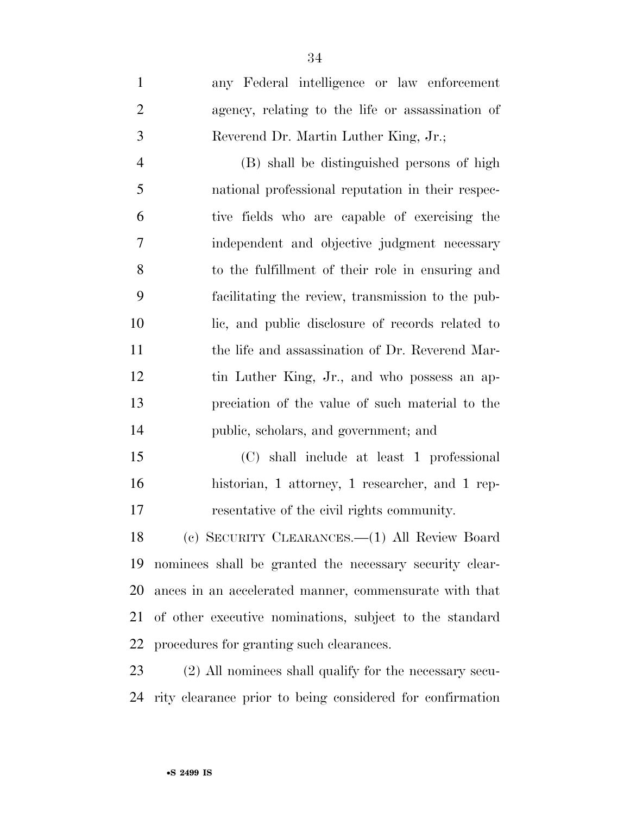| $\mathbf{1}$   | any Federal intelligence or law enforcement       |
|----------------|---------------------------------------------------|
| $\overline{2}$ | agency, relating to the life or assassination of  |
| 3              | Reverend Dr. Martin Luther King, Jr.;             |
| $\overline{4}$ | (B) shall be distinguished persons of high        |
| 5              | national professional reputation in their respec- |
| 6              | tive fields who are capable of exercising the     |
| $\tau$         | independent and objective judgment necessary      |
| 8              | to the fulfillment of their role in ensuring and  |
| 9              | facilitating the review, transmission to the pub- |
| 10             | lic, and public disclosure of records related to  |
| 11             | the life and assassination of Dr. Reverend Mar-   |
| 12             | tin Luther King, Jr., and who possess an ap-      |
| 13             | preciation of the value of such material to the   |
| 14             | public, scholars, and government; and             |
| 15             | (C) shall include at least 1 professional         |
| 16             | historian, 1 attorney, 1 researcher, and 1 rep-   |
|                |                                                   |

resentative of the civil rights community.

 (c) SECURITY CLEARANCES.—(1) All Review Board nominees shall be granted the necessary security clear- ances in an accelerated manner, commensurate with that of other executive nominations, subject to the standard procedures for granting such clearances.

 (2) All nominees shall qualify for the necessary secu-rity clearance prior to being considered for confirmation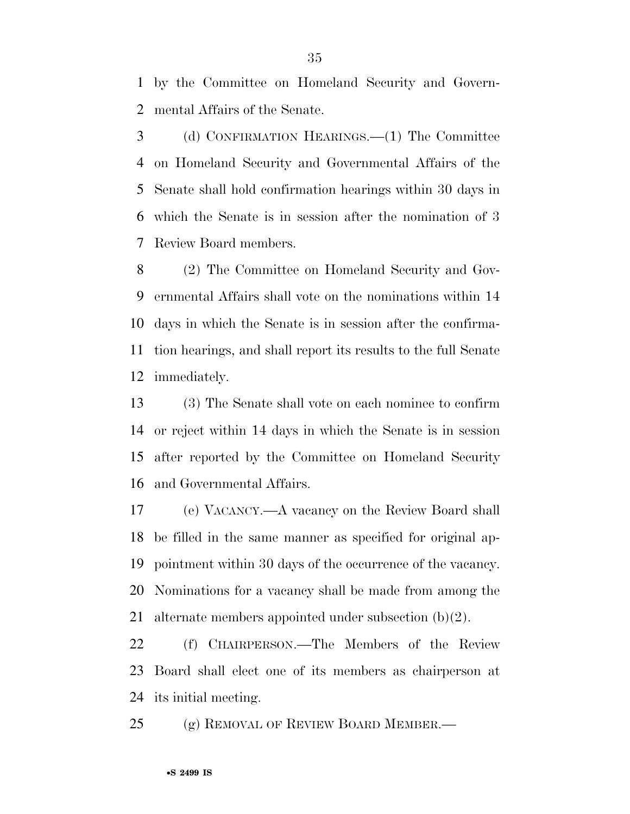by the Committee on Homeland Security and Govern-mental Affairs of the Senate.

 (d) CONFIRMATION HEARINGS.—(1) The Committee on Homeland Security and Governmental Affairs of the Senate shall hold confirmation hearings within 30 days in which the Senate is in session after the nomination of 3 Review Board members.

 (2) The Committee on Homeland Security and Gov- ernmental Affairs shall vote on the nominations within 14 days in which the Senate is in session after the confirma- tion hearings, and shall report its results to the full Senate immediately.

 (3) The Senate shall vote on each nominee to confirm or reject within 14 days in which the Senate is in session after reported by the Committee on Homeland Security and Governmental Affairs.

 (e) VACANCY.—A vacancy on the Review Board shall be filled in the same manner as specified for original ap- pointment within 30 days of the occurrence of the vacancy. Nominations for a vacancy shall be made from among the alternate members appointed under subsection (b)(2).

 (f) CHAIRPERSON.—The Members of the Review Board shall elect one of its members as chairperson at its initial meeting.

25 (g) REMOVAL OF REVIEW BOARD MEMBER.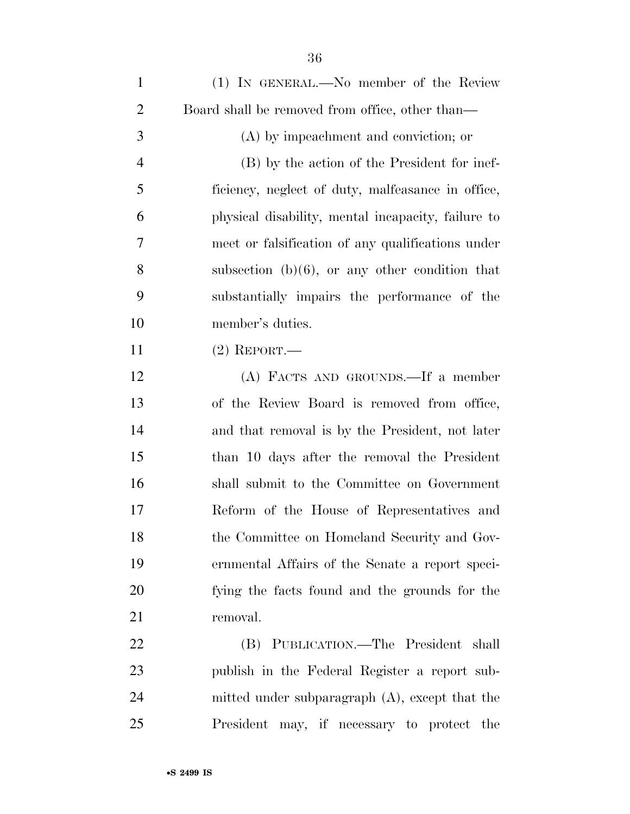| $\mathbf{1}$   | (1) IN GENERAL.—No member of the Review            |
|----------------|----------------------------------------------------|
| $\overline{2}$ | Board shall be removed from office, other than—    |
| 3              | (A) by impeachment and conviction; or              |
| $\overline{4}$ | (B) by the action of the President for inef-       |
| 5              | ficiency, neglect of duty, malfeasance in office,  |
| 6              | physical disability, mental incapacity, failure to |
| 7              | meet or falsification of any qualifications under  |
| 8              | subsection $(b)(6)$ , or any other condition that  |
| 9              | substantially impairs the performance of the       |
| 10             | member's duties.                                   |
| 11             | $(2)$ REPORT.—                                     |
| 12             | (A) FACTS AND GROUNDS.—If a member                 |
| 13             | of the Review Board is removed from office,        |
| 14             | and that removal is by the President, not later    |
| 15             | than 10 days after the removal the President       |
| 16             | shall submit to the Committee on Government        |
| 17             | Reform of the House of Representatives and         |
| 18             | the Committee on Homeland Security and Gov-        |
| 19             | ernmental Affairs of the Senate a report speci-    |
| 20             | fying the facts found and the grounds for the      |
| 21             | removal.                                           |
| 22             | (B) PUBLICATION.—The President shall               |
| 23             | publish in the Federal Register a report sub-      |
| 24             | mitted under subparagraph $(A)$ , except that the  |
| 25             | President may, if necessary to protect the         |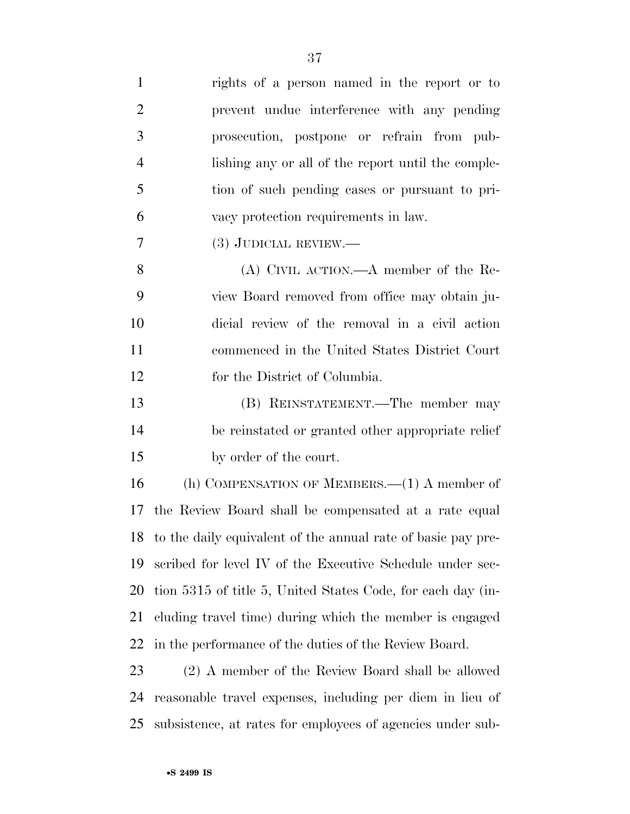| $\mathbf{1}$   | rights of a person named in the report or to                    |
|----------------|-----------------------------------------------------------------|
| $\overline{2}$ | prevent undue interference with any pending                     |
| 3              | prosecution, postpone or refrain from pub-                      |
| $\overline{4}$ | lishing any or all of the report until the comple-              |
| 5              | tion of such pending cases or pursuant to pri-                  |
| 6              | vacy protection requirements in law.                            |
| $\overline{7}$ | $(3)$ JUDICIAL REVIEW.—                                         |
| 8              | $(A)$ CIVIL ACTION.— $A$ member of the Re-                      |
| 9              | view Board removed from office may obtain ju-                   |
| 10             | dicial review of the removal in a civil action                  |
| 11             | commenced in the United States District Court                   |
| 12             | for the District of Columbia.                                   |
| 13             | (B) REINSTATEMENT.—The member may                               |
| 14             | be reinstated or granted other appropriate relief               |
| 15             | by order of the court.                                          |
| 16             | (h) COMPENSATION OF MEMBERS. $-(1)$ A member of                 |
| 17             | the Review Board shall be compensated at a rate equal           |
|                | 18 to the daily equivalent of the annual rate of basic pay pre- |
| 19             | scribed for level IV of the Executive Schedule under sec-       |
| 20             | tion 5315 of title 5, United States Code, for each day (in-     |
| 21             | cluding travel time) during which the member is engaged         |
| 22             | in the performance of the duties of the Review Board.           |
| 23             | (2) A member of the Review Board shall be allowed               |
| 24             | reasonable travel expenses, including per diem in lieu of       |
| 25             | subsistence, at rates for employees of agencies under sub-      |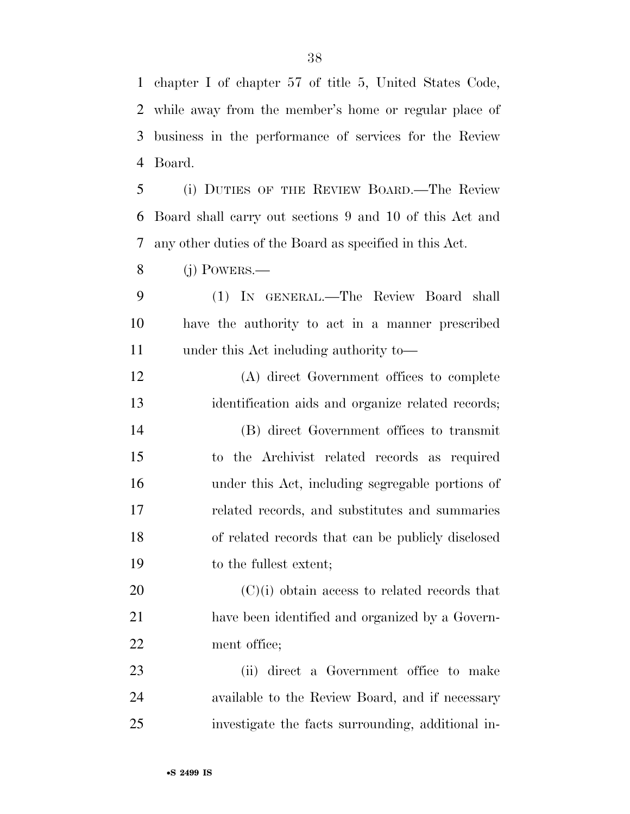chapter I of chapter 57 of title 5, United States Code, while away from the member's home or regular place of

 business in the performance of services for the Review Board.

 (i) DUTIES OF THE REVIEW BOARD.—The Review Board shall carry out sections 9 and 10 of this Act and any other duties of the Board as specified in this Act.

(j) POWERS.—

 (1) IN GENERAL.—The Review Board shall have the authority to act in a manner prescribed under this Act including authority to—

 (A) direct Government offices to complete identification aids and organize related records; (B) direct Government offices to transmit to the Archivist related records as required under this Act, including segregable portions of related records, and substitutes and summaries of related records that can be publicly disclosed to the fullest extent;

 (C)(i) obtain access to related records that have been identified and organized by a Govern-ment office;

 (ii) direct a Government office to make available to the Review Board, and if necessary investigate the facts surrounding, additional in-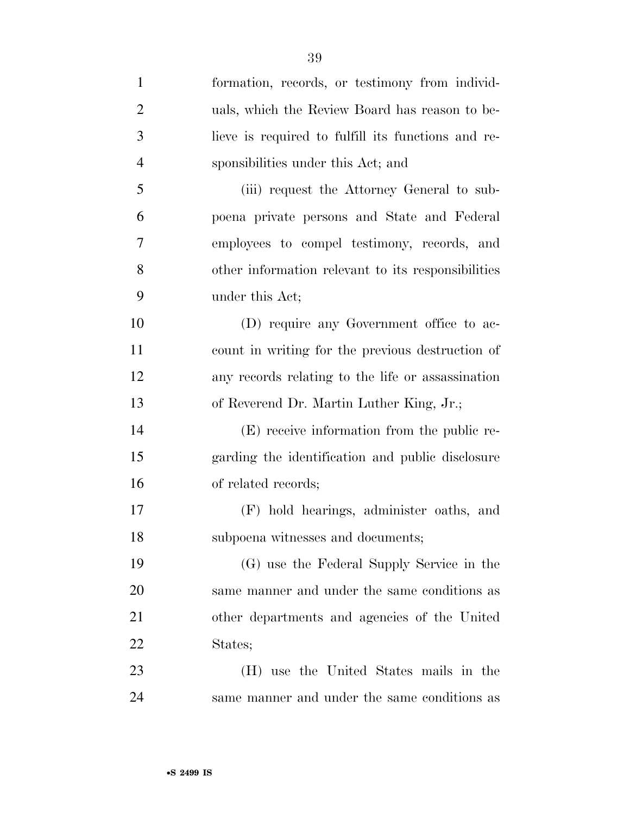formation, records, or testimony from individ- uals, which the Review Board has reason to be- lieve is required to fulfill its functions and re- sponsibilities under this Act; and (iii) request the Attorney General to sub- poena private persons and State and Federal employees to compel testimony, records, and other information relevant to its responsibilities under this Act; (D) require any Government office to ac- count in writing for the previous destruction of any records relating to the life or assassination of Reverend Dr. Martin Luther King, Jr.; (E) receive information from the public re- garding the identification and public disclosure of related records; (F) hold hearings, administer oaths, and subpoena witnesses and documents; (G) use the Federal Supply Service in the same manner and under the same conditions as other departments and agencies of the United States; (H) use the United States mails in the same manner and under the same conditions as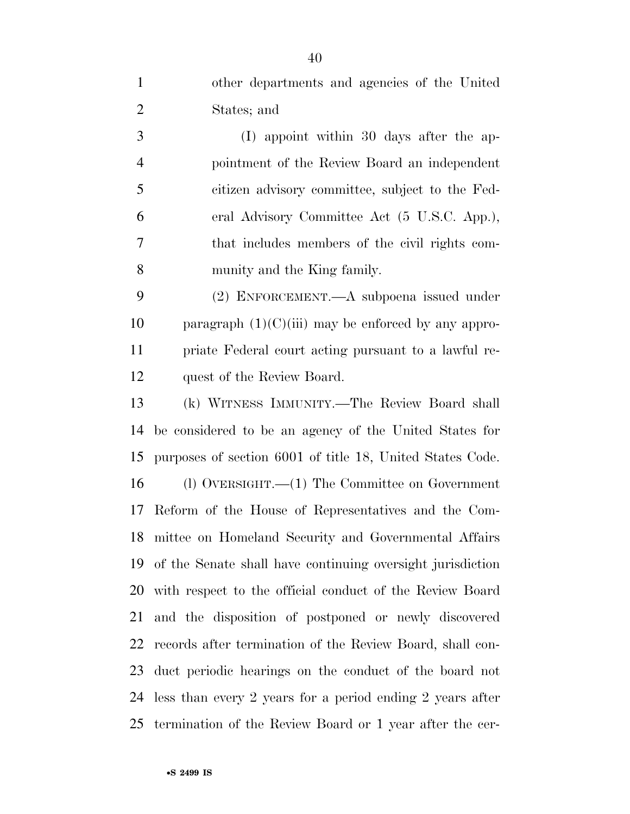other departments and agencies of the United States; and

 (I) appoint within 30 days after the ap- pointment of the Review Board an independent citizen advisory committee, subject to the Fed- eral Advisory Committee Act (5 U.S.C. App.), that includes members of the civil rights com-munity and the King family.

 (2) ENFORCEMENT.—A subpoena issued under 10 paragraph  $(1)(C)(iii)$  may be enforced by any appro- priate Federal court acting pursuant to a lawful re-quest of the Review Board.

 (k) WITNESS IMMUNITY.—The Review Board shall be considered to be an agency of the United States for purposes of section 6001 of title 18, United States Code. (l) OVERSIGHT.—(1) The Committee on Government Reform of the House of Representatives and the Com- mittee on Homeland Security and Governmental Affairs of the Senate shall have continuing oversight jurisdiction with respect to the official conduct of the Review Board and the disposition of postponed or newly discovered records after termination of the Review Board, shall con- duct periodic hearings on the conduct of the board not less than every 2 years for a period ending 2 years after termination of the Review Board or 1 year after the cer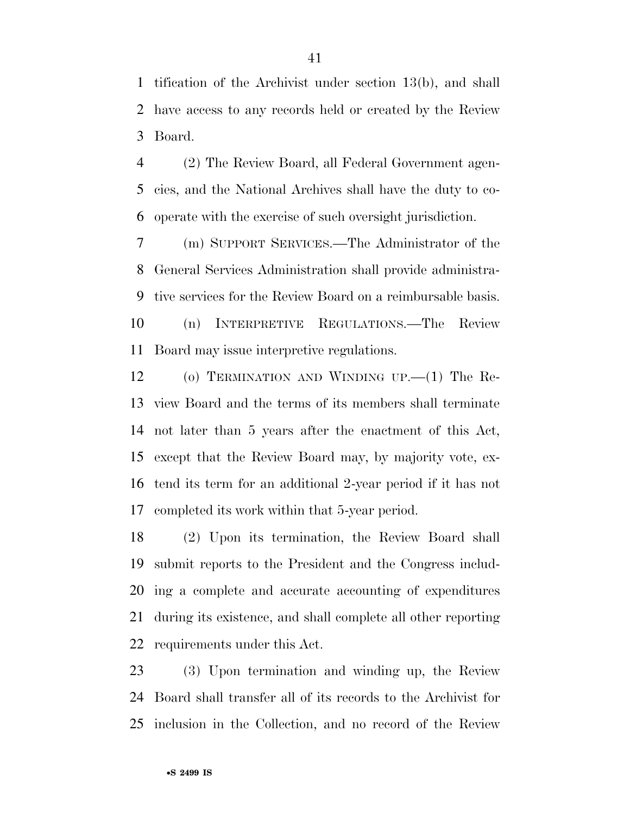tification of the Archivist under section 13(b), and shall have access to any records held or created by the Review Board.

 (2) The Review Board, all Federal Government agen- cies, and the National Archives shall have the duty to co-operate with the exercise of such oversight jurisdiction.

 (m) SUPPORT SERVICES.—The Administrator of the General Services Administration shall provide administra- tive services for the Review Board on a reimbursable basis. (n) INTERPRETIVE REGULATIONS.—The Review Board may issue interpretive regulations.

 (o) TERMINATION AND WINDING UP.—(1) The Re- view Board and the terms of its members shall terminate not later than 5 years after the enactment of this Act, except that the Review Board may, by majority vote, ex- tend its term for an additional 2-year period if it has not completed its work within that 5-year period.

 (2) Upon its termination, the Review Board shall submit reports to the President and the Congress includ- ing a complete and accurate accounting of expenditures during its existence, and shall complete all other reporting requirements under this Act.

 (3) Upon termination and winding up, the Review Board shall transfer all of its records to the Archivist for inclusion in the Collection, and no record of the Review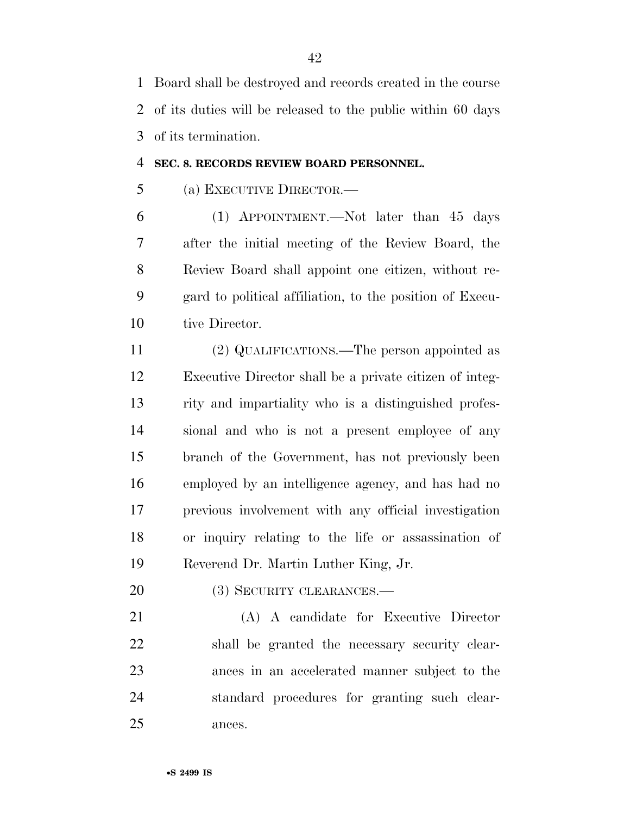Board shall be destroyed and records created in the course of its duties will be released to the public within 60 days of its termination.

#### **SEC. 8. RECORDS REVIEW BOARD PERSONNEL.**

(a) EXECUTIVE DIRECTOR.—

 (1) APPOINTMENT.—Not later than 45 days after the initial meeting of the Review Board, the Review Board shall appoint one citizen, without re- gard to political affiliation, to the position of Execu-10 tive Director.

 (2) QUALIFICATIONS.—The person appointed as Executive Director shall be a private citizen of integ- rity and impartiality who is a distinguished profes- sional and who is not a present employee of any branch of the Government, has not previously been employed by an intelligence agency, and has had no previous involvement with any official investigation or inquiry relating to the life or assassination of Reverend Dr. Martin Luther King, Jr.

(3) SECURITY CLEARANCES.—

 (A) A candidate for Executive Director shall be granted the necessary security clear- ances in an accelerated manner subject to the standard procedures for granting such clear-ances.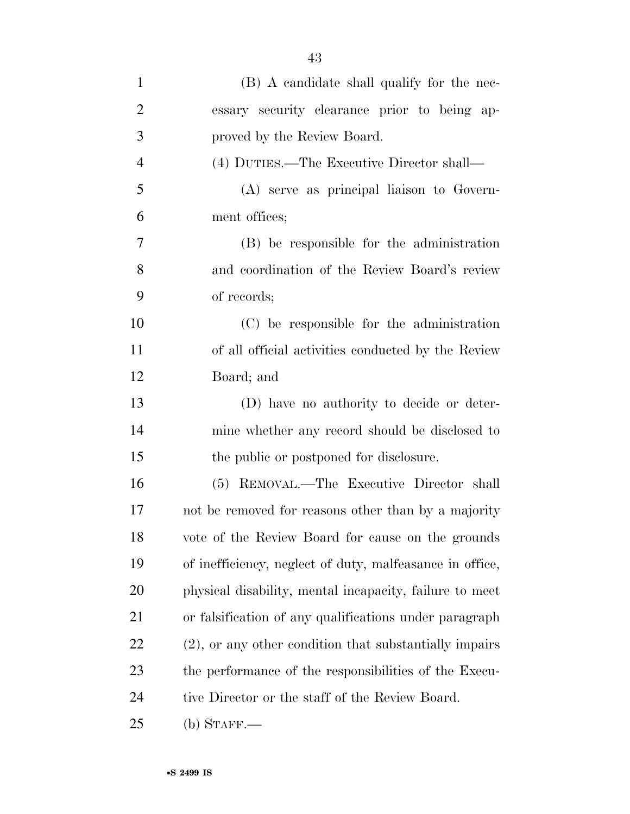| $\mathbf{1}$   | (B) A candidate shall qualify for the nec-                |
|----------------|-----------------------------------------------------------|
| $\overline{2}$ | essary security clearance prior to being ap-              |
| 3              | proved by the Review Board.                               |
| $\overline{4}$ | (4) DUTIES.—The Executive Director shall—                 |
| 5              | (A) serve as principal liaison to Govern-                 |
| 6              | ment offices;                                             |
| 7              | (B) be responsible for the administration                 |
| 8              | and coordination of the Review Board's review             |
| 9              | of records;                                               |
| 10             | (C) be responsible for the administration                 |
| 11             | of all official activities conducted by the Review        |
| 12             | Board; and                                                |
| 13             | (D) have no authority to decide or deter-                 |
| 14             | mine whether any record should be disclosed to            |
| 15             | the public or postponed for disclosure.                   |
| 16             | (5) REMOVAL.—The Executive Director shall                 |
| 17             | not be removed for reasons other than by a majority       |
| 18             | vote of the Review Board for cause on the grounds         |
| 19             | of inefficiency, neglect of duty, malfeasance in office,  |
| 20             | physical disability, mental incapacity, failure to meet   |
| 21             | or falsification of any qualifications under paragraph    |
| 22             | $(2)$ , or any other condition that substantially impairs |
| 23             | the performance of the responsibilities of the Execu-     |
| 24             | tive Director or the staff of the Review Board.           |
| 25             | (b) STAFF.—                                               |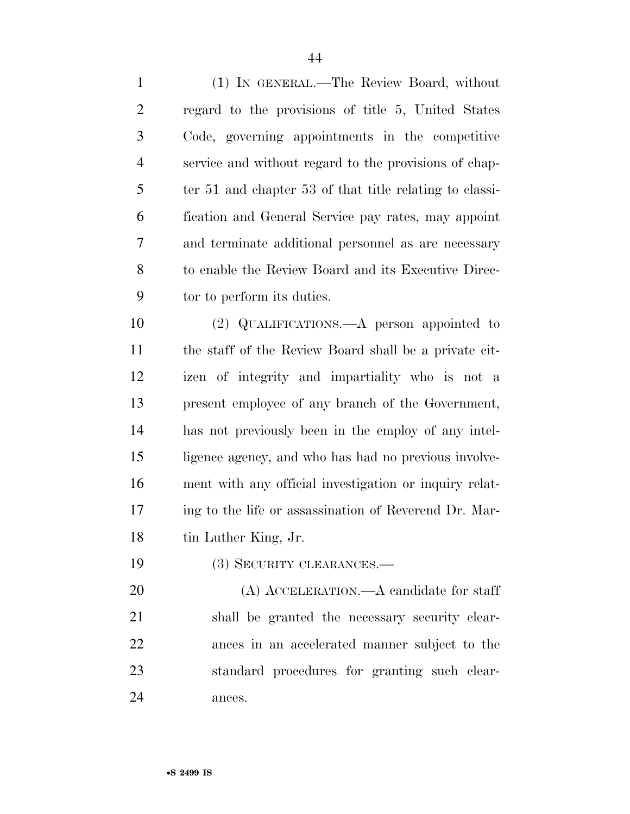(1) IN GENERAL.—The Review Board, without regard to the provisions of title 5, United States Code, governing appointments in the competitive service and without regard to the provisions of chap- ter 51 and chapter 53 of that title relating to classi- fication and General Service pay rates, may appoint and terminate additional personnel as are necessary to enable the Review Board and its Executive Direc-tor to perform its duties.

 (2) QUALIFICATIONS.—A person appointed to the staff of the Review Board shall be a private cit- izen of integrity and impartiality who is not a present employee of any branch of the Government, has not previously been in the employ of any intel- ligence agency, and who has had no previous involve- ment with any official investigation or inquiry relat- ing to the life or assassination of Reverend Dr. Mar-18 tin Luther King, Jr.

19 (3) SECURITY CLEARANCES.—

 (A) ACCELERATION.—A candidate for staff shall be granted the necessary security clear- ances in an accelerated manner subject to the standard procedures for granting such clear-ances.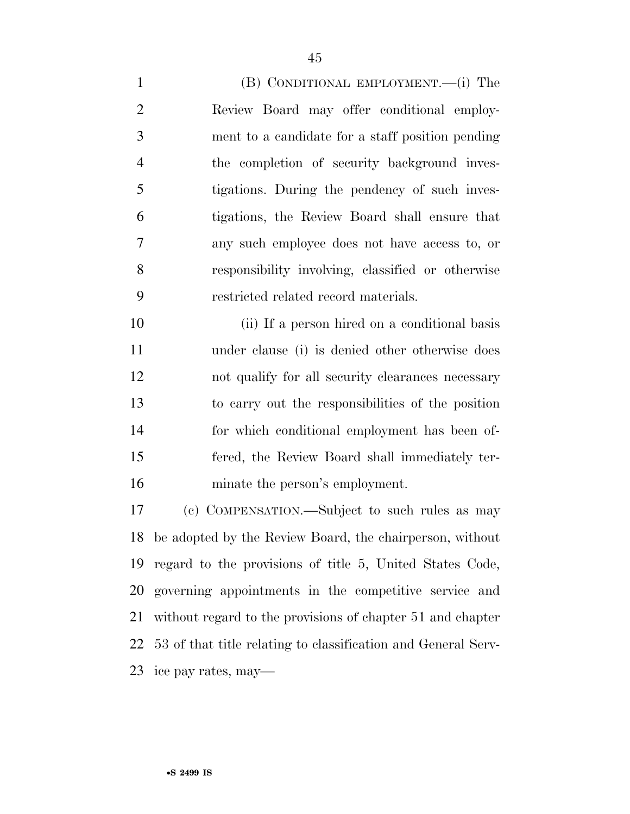(B) CONDITIONAL EMPLOYMENT.—(i) The Review Board may offer conditional employ- ment to a candidate for a staff position pending the completion of security background inves- tigations. During the pendency of such inves- tigations, the Review Board shall ensure that any such employee does not have access to, or responsibility involving, classified or otherwise restricted related record materials.

 (ii) If a person hired on a conditional basis under clause (i) is denied other otherwise does not qualify for all security clearances necessary to carry out the responsibilities of the position for which conditional employment has been of- fered, the Review Board shall immediately ter-minate the person's employment.

 (c) COMPENSATION.—Subject to such rules as may be adopted by the Review Board, the chairperson, without regard to the provisions of title 5, United States Code, governing appointments in the competitive service and without regard to the provisions of chapter 51 and chapter 53 of that title relating to classification and General Serv-ice pay rates, may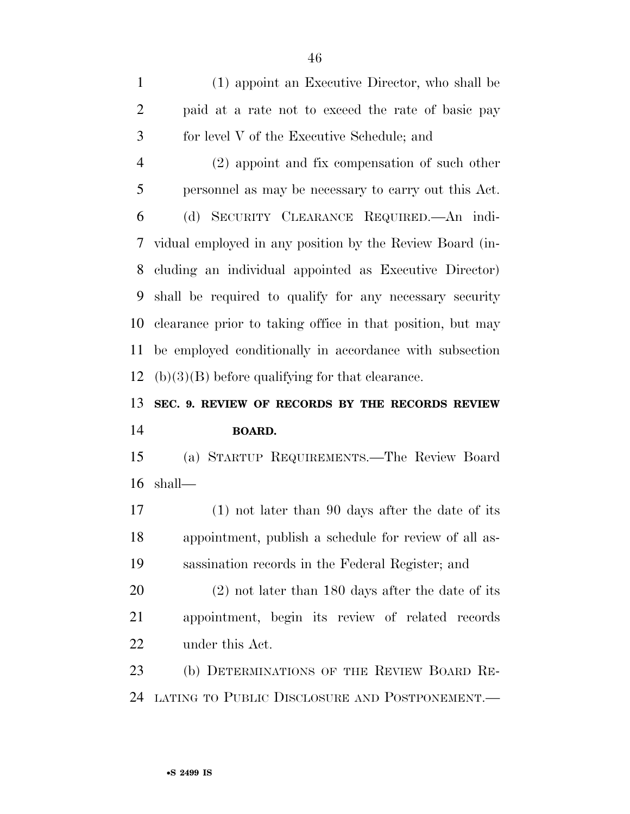(1) appoint an Executive Director, who shall be paid at a rate not to exceed the rate of basic pay for level V of the Executive Schedule; and

 (2) appoint and fix compensation of such other personnel as may be necessary to carry out this Act. (d) SECURITY CLEARANCE REQUIRED.—An indi- vidual employed in any position by the Review Board (in- cluding an individual appointed as Executive Director) shall be required to qualify for any necessary security clearance prior to taking office in that position, but may be employed conditionally in accordance with subsection 12 (b) $(3)(B)$  before qualifying for that clearance.

# **SEC. 9. REVIEW OF RECORDS BY THE RECORDS REVIEW BOARD.**

 (a) STARTUP REQUIREMENTS.—The Review Board shall—

 (1) not later than 90 days after the date of its appointment, publish a schedule for review of all as-sassination records in the Federal Register; and

 (2) not later than 180 days after the date of its appointment, begin its review of related records under this Act.

 (b) DETERMINATIONS OF THE REVIEW BOARD RE-LATING TO PUBLIC DISCLOSURE AND POSTPONEMENT.—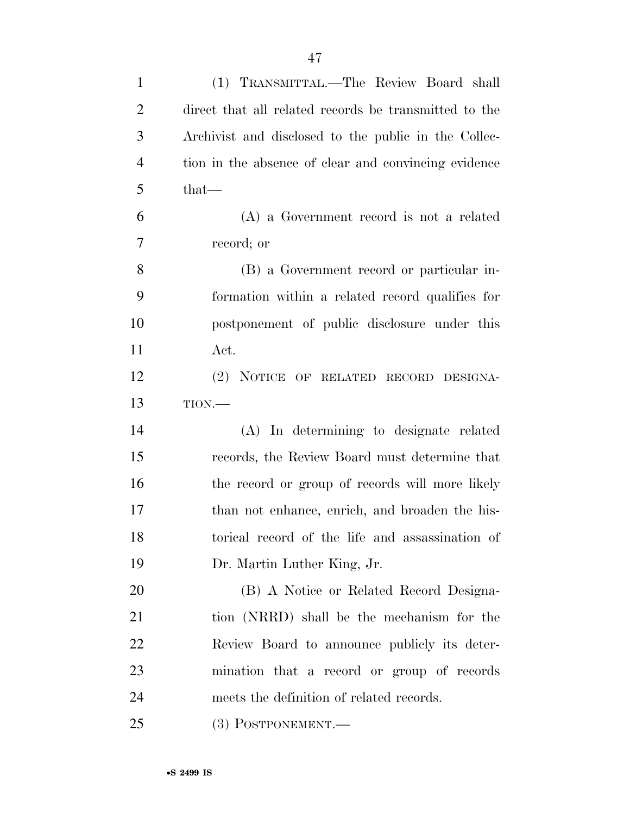| $\mathbf{1}$   | (1) TRANSMITTAL.—The Review Board shall               |
|----------------|-------------------------------------------------------|
| $\overline{2}$ | direct that all related records be transmitted to the |
| 3              | Archivist and disclosed to the public in the Collec-  |
| $\overline{4}$ | tion in the absence of clear and convincing evidence  |
| 5              | that-                                                 |
| 6              | (A) a Government record is not a related              |
| 7              | record; or                                            |
| 8              | (B) a Government record or particular in-             |
| 9              | formation within a related record qualifies for       |
| 10             | postponement of public disclosure under this          |
| 11             | Act.                                                  |
| 12             | (2) NOTICE OF RELATED RECORD DESIGNA-                 |
| 13             | TION.                                                 |
| 14             | (A) In determining to designate related               |
| 15             | records, the Review Board must determine that         |
| 16             | the record or group of records will more likely       |
| 17             | than not enhance, enrich, and broaden the his-        |
| 18             | torical record of the life and assassination of       |
| 19             | Dr. Martin Luther King, Jr.                           |
| 20             | (B) A Notice or Related Record Designa-               |
| 21             | tion (NRRD) shall be the mechanism for the            |
| 22             | Review Board to announce publicly its deter-          |
| 23             | mination that a record or group of records            |
| 24             | meets the definition of related records.              |
| 25             | (3) POSTPONEMENT.—                                    |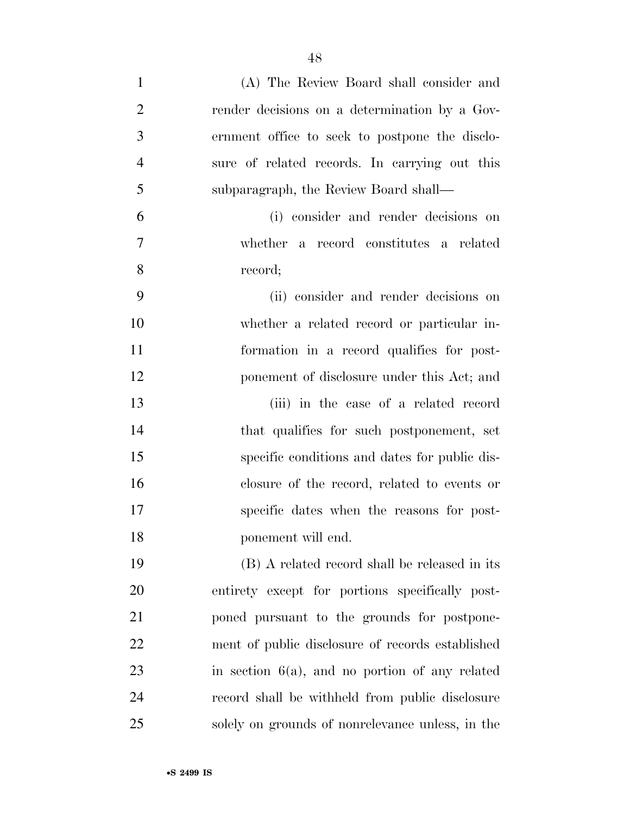| $\mathbf{1}$   | (A) The Review Board shall consider and           |
|----------------|---------------------------------------------------|
| $\overline{2}$ | render decisions on a determination by a Gov-     |
| 3              | ernment office to seek to postpone the disclo-    |
| $\overline{4}$ | sure of related records. In carrying out this     |
| 5              | subparagraph, the Review Board shall—             |
| 6              | (i) consider and render decisions on              |
| $\tau$         | whether a record constitutes a related            |
| 8              | record;                                           |
| 9              | (ii) consider and render decisions on             |
| 10             | whether a related record or particular in-        |
| 11             | formation in a record qualifies for post-         |
| 12             | ponement of disclosure under this Act; and        |
| 13             | (iii) in the case of a related record             |
| 14             | that qualifies for such postponement, set         |
| 15             | specific conditions and dates for public dis-     |
| 16             | closure of the record, related to events or       |
| 17             | specific dates when the reasons for post-         |
| 18             | ponement will end.                                |
| 19             | (B) A related record shall be released in its     |
| 20             | entirety except for portions specifically post-   |
| 21             | poned pursuant to the grounds for postpone-       |
| 22             | ment of public disclosure of records established  |
| 23             | in section $6(a)$ , and no portion of any related |
| 24             | record shall be withheld from public disclosure   |
| 25             | solely on grounds of nonrelevance unless, in the  |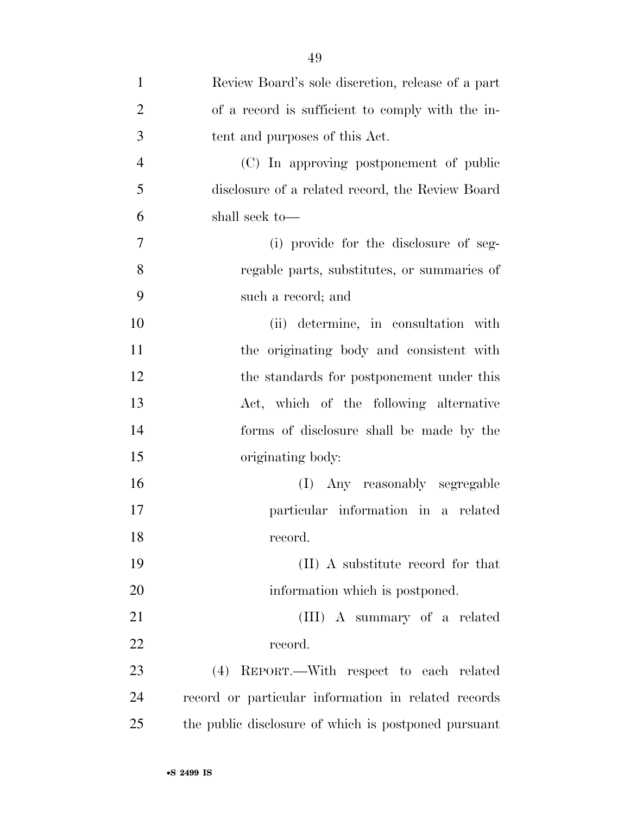| $\mathbf{1}$   | Review Board's sole discretion, release of a part    |
|----------------|------------------------------------------------------|
| $\overline{2}$ | of a record is sufficient to comply with the in-     |
| 3              | tent and purposes of this Act.                       |
| $\overline{4}$ | (C) In approving postponement of public              |
| 5              | disclosure of a related record, the Review Board     |
| 6              | shall seek to—                                       |
| $\overline{7}$ | (i) provide for the disclosure of seg-               |
| 8              | regable parts, substitutes, or summaries of          |
| 9              | such a record; and                                   |
| 10             | (ii) determine, in consultation with                 |
| 11             | the originating body and consistent with             |
| 12             | the standards for postponement under this            |
| 13             | Act, which of the following alternative              |
| 14             | forms of disclosure shall be made by the             |
| 15             | originating body:                                    |
| 16             | (I) Any reasonably segregable                        |
| 17             | particular information in a related                  |
| 18             | record.                                              |
| 19             | (II) A substitute record for that                    |
| 20             | information which is postponed.                      |
| 21             | (III) A summary of a related                         |
| 22             | record.                                              |
| 23             | REPORT.—With respect to each related<br>(4)          |
| 24             | record or particular information in related records  |
| 25             | the public disclosure of which is postponed pursuant |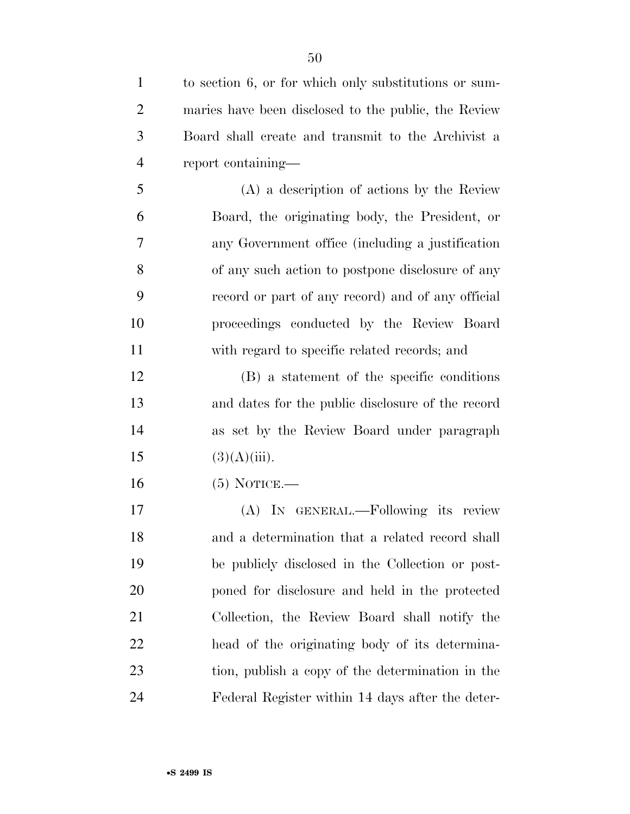| $\mathbf{1}$   | to section 6, or for which only substitutions or sum- |
|----------------|-------------------------------------------------------|
| $\overline{2}$ | maries have been disclosed to the public, the Review  |
| 3              | Board shall create and transmit to the Archivist a    |
| $\overline{4}$ | report containing—                                    |
| 5              | (A) a description of actions by the Review            |
| 6              | Board, the originating body, the President, or        |
| 7              | any Government office (including a justification      |
| 8              | of any such action to postpone disclosure of any      |
| 9              | record or part of any record) and of any official     |
| 10             | proceedings conducted by the Review Board             |
| 11             | with regard to specific related records; and          |
| 12             | (B) a statement of the specific conditions            |
| 13             | and dates for the public disclosure of the record     |
| 14             | as set by the Review Board under paragraph            |
| 15             | $(3)(A)(iii)$ .                                       |
| 16             | $(5)$ NOTICE.—                                        |
| 17             | (A) IN GENERAL.—Following its review                  |
| 18             | and a determination that a related record shall       |
| 19             | be publicly disclosed in the Collection or post-      |
| 20             | poned for disclosure and held in the protected        |
| 21             | Collection, the Review Board shall notify the         |
| 22             | head of the originating body of its determina-        |
| 23             | tion, publish a copy of the determination in the      |
| 24             | Federal Register within 14 days after the deter-      |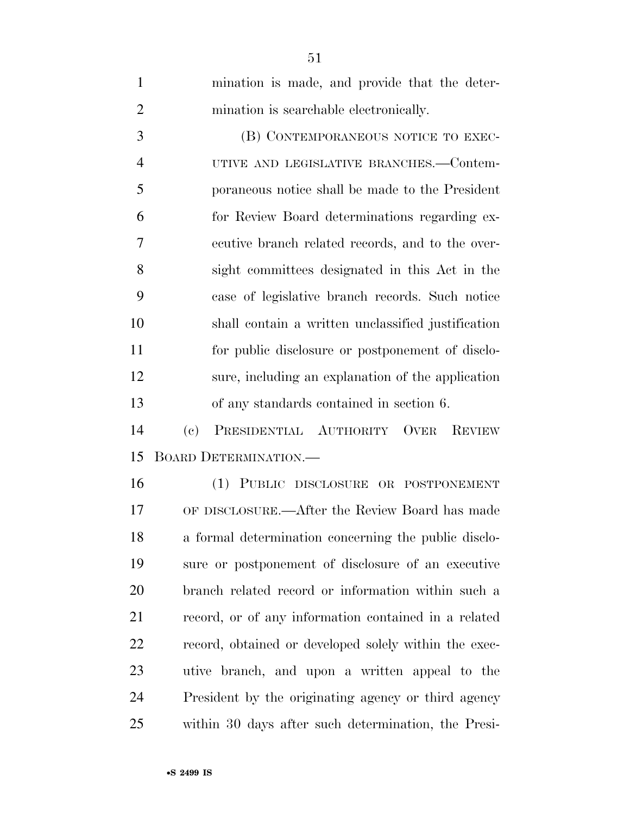| $\mathbf{1}$   | mination is made, and provide that the deter-                                        |
|----------------|--------------------------------------------------------------------------------------|
| $\overline{2}$ | mination is searchable electronically.                                               |
| 3              | (B) CONTEMPORANEOUS NOTICE TO EXEC-                                                  |
| $\overline{4}$ | UTIVE AND LEGISLATIVE BRANCHES.—Contem-                                              |
| 5              | poraneous notice shall be made to the President                                      |
| 6              | for Review Board determinations regarding ex-                                        |
| 7              | ecutive branch related records, and to the over-                                     |
| 8              | sight committees designated in this Act in the                                       |
| 9              | case of legislative branch records. Such notice                                      |
| 10             | shall contain a written unclassified justification                                   |
| 11             | for public disclosure or postponement of disclo-                                     |
| 12             | sure, including an explanation of the application                                    |
| 13             | of any standards contained in section 6.                                             |
| 14             | $\left( \mathrm{e}\right)$<br>PRESIDENTIAL AUTHORITY<br><b>OVER</b><br><b>REVIEW</b> |
| 15             | BOARD DETERMINATION.                                                                 |
| 16             | (1) PUBLIC DISCLOSURE OR POSTPONEMENT                                                |
| 17             | OF DISCLOSURE.—After the Review Board has made                                       |
| 18             | a formal determination concerning the public disclo-                                 |
| 19             | sure or postponement of disclosure of an executive                                   |
| 20             | branch related record or information within such a                                   |
| 21             | record, or of any information contained in a related                                 |
| 22             | record, obtained or developed solely within the exec-                                |
| 23             | utive branch, and upon a written appeal to the                                       |
| 24             | President by the originating agency or third agency                                  |
| 25             | within 30 days after such determination, the Presi-                                  |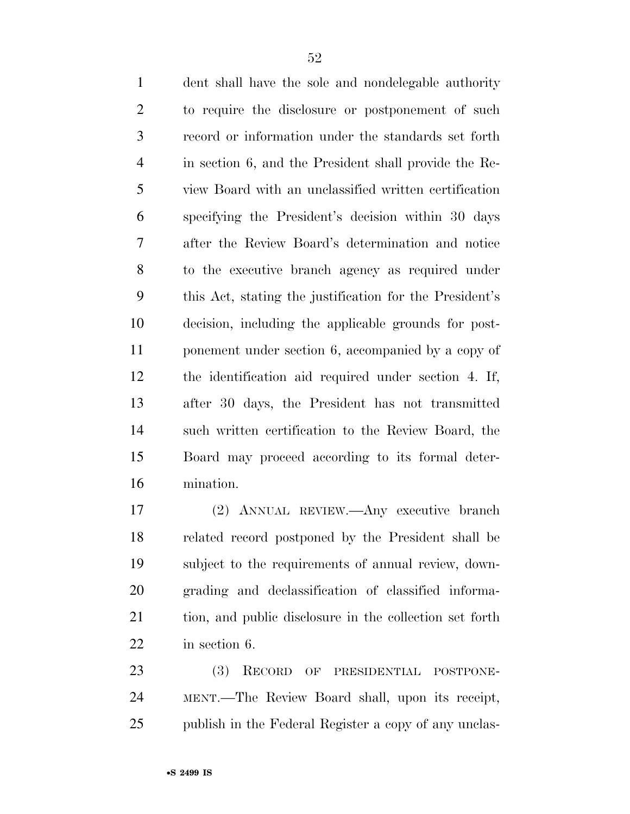dent shall have the sole and nondelegable authority to require the disclosure or postponement of such record or information under the standards set forth in section 6, and the President shall provide the Re- view Board with an unclassified written certification specifying the President's decision within 30 days after the Review Board's determination and notice to the executive branch agency as required under this Act, stating the justification for the President's decision, including the applicable grounds for post- ponement under section 6, accompanied by a copy of the identification aid required under section 4. If, after 30 days, the President has not transmitted such written certification to the Review Board, the Board may proceed according to its formal deter-mination.

 (2) ANNUAL REVIEW.—Any executive branch related record postponed by the President shall be subject to the requirements of annual review, down- grading and declassification of classified informa- tion, and public disclosure in the collection set forth in section 6.

 (3) RECORD OF PRESIDENTIAL POSTPONE- MENT.—The Review Board shall, upon its receipt, 25 publish in the Federal Register a copy of any unclas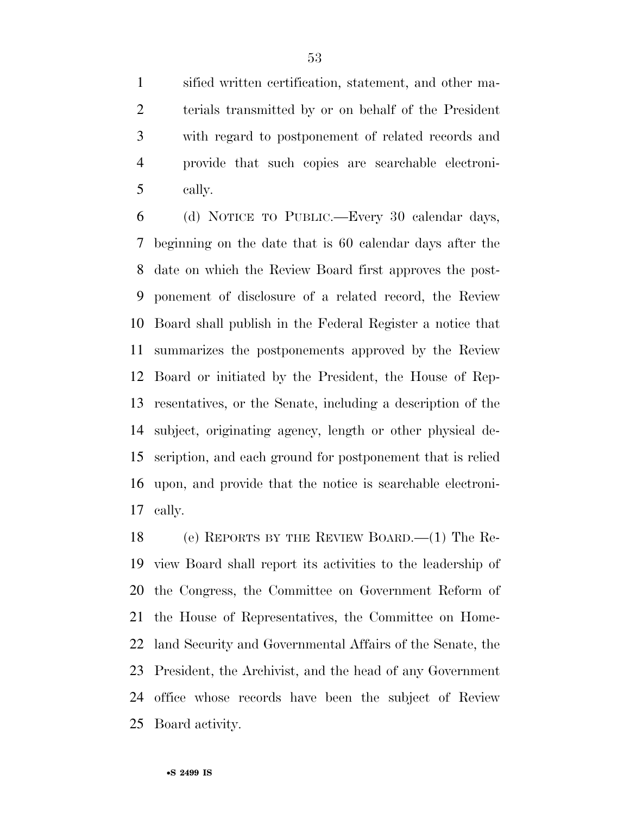sified written certification, statement, and other ma- terials transmitted by or on behalf of the President with regard to postponement of related records and provide that such copies are searchable electroni-cally.

 (d) NOTICE TO PUBLIC.—Every 30 calendar days, beginning on the date that is 60 calendar days after the date on which the Review Board first approves the post- ponement of disclosure of a related record, the Review Board shall publish in the Federal Register a notice that summarizes the postponements approved by the Review Board or initiated by the President, the House of Rep- resentatives, or the Senate, including a description of the subject, originating agency, length or other physical de- scription, and each ground for postponement that is relied upon, and provide that the notice is searchable electroni-cally.

 (e) REPORTS BY THE REVIEW BOARD.—(1) The Re- view Board shall report its activities to the leadership of the Congress, the Committee on Government Reform of the House of Representatives, the Committee on Home- land Security and Governmental Affairs of the Senate, the President, the Archivist, and the head of any Government office whose records have been the subject of Review Board activity.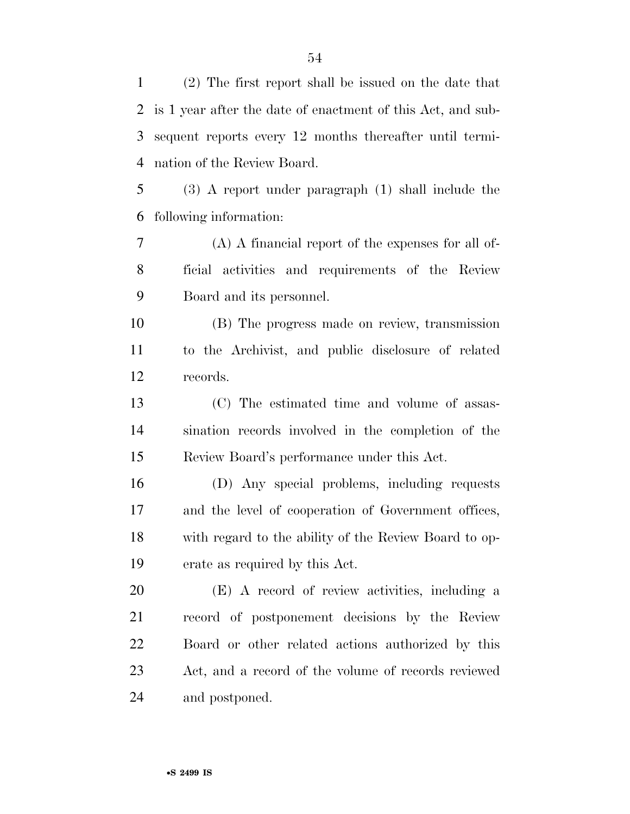| 1      | (2) The first report shall be issued on the date that       |
|--------|-------------------------------------------------------------|
| 2      | is 1 year after the date of enactment of this Act, and sub- |
| 3      | sequent reports every 12 months thereafter until termi-     |
| 4      | nation of the Review Board.                                 |
| 5      | $(3)$ A report under paragraph $(1)$ shall include the      |
| 6      | following information:                                      |
| $\tau$ | $(A)$ A financial report of the expenses for all of-        |
| 8      | ficial activities and requirements of the Review            |
| 9      | Board and its personnel.                                    |
| 10     | (B) The progress made on review, transmission               |
| 11     | to the Archivist, and public disclosure of related          |
| 12     | records.                                                    |
| 13     | (C) The estimated time and volume of assas-                 |
| 14     | sination records involved in the completion of the          |
| 15     | Review Board's performance under this Act.                  |
| 16     | (D) Any special problems, including requests                |
| 17     | and the level of cooperation of Government offices,         |
| 18     | with regard to the ability of the Review Board to op-       |
| 19     | erate as required by this Act.                              |
| 20     | (E) A record of review activities, including a              |
| 21     | record of postponement decisions by the Review              |
| 22     | Board or other related actions authorized by this           |
| 23     | Act, and a record of the volume of records reviewed         |
| 24     | and postponed.                                              |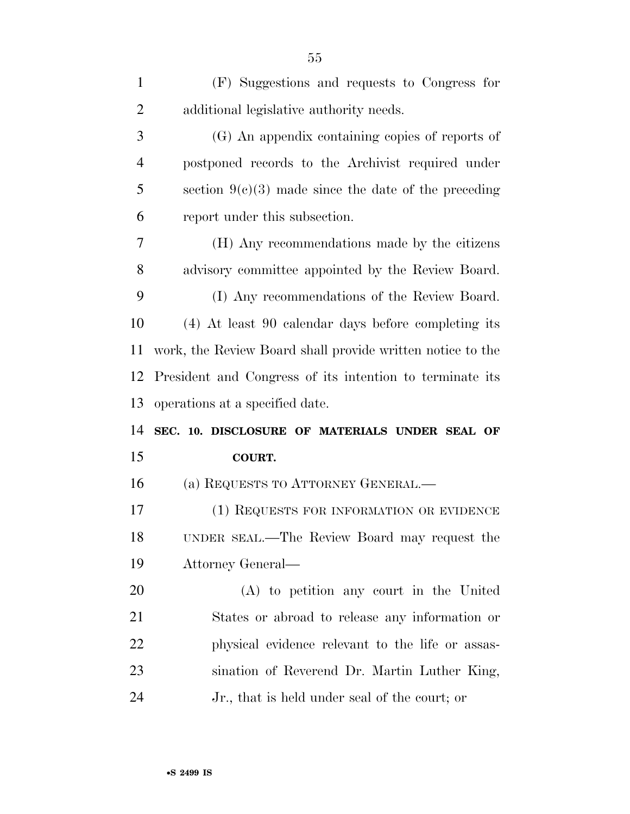| 1              | (F) Suggestions and requests to Congress for               |
|----------------|------------------------------------------------------------|
| $\overline{2}$ | additional legislative authority needs.                    |
| 3              | (G) An appendix containing copies of reports of            |
| $\overline{4}$ | postponed records to the Archivist required under          |
| 5              | section $9(c)(3)$ made since the date of the preceding     |
| 6              | report under this subsection.                              |
| 7              | (H) Any recommendations made by the citizens               |
| 8              | advisory committee appointed by the Review Board.          |
| 9              | (I) Any recommendations of the Review Board.               |
| 10             | (4) At least 90 calendar days before completing its        |
| 11             | work, the Review Board shall provide written notice to the |
| 12             | President and Congress of its intention to terminate its   |
| 13             | operations at a specified date.                            |
| 14             | SEC. 10. DISCLOSURE OF MATERIALS UNDER SEAL OF             |
| 15             | <b>COURT.</b>                                              |
| 16             | (a) REQUESTS TO ATTORNEY GENERAL.—                         |
| 17             | (1) REQUESTS FOR INFORMATION OR EVIDENCE                   |
| 18             | UNDER SEAL.—The Review Board may request the               |
| 19             | Attorney General—                                          |
| 20             | (A) to petition any court in the United                    |
| 21             | States or abroad to release any information or             |
| 22             | physical evidence relevant to the life or assas-           |
| 23             | sination of Reverend Dr. Martin Luther King,               |
| 24             | Jr., that is held under seal of the court; or              |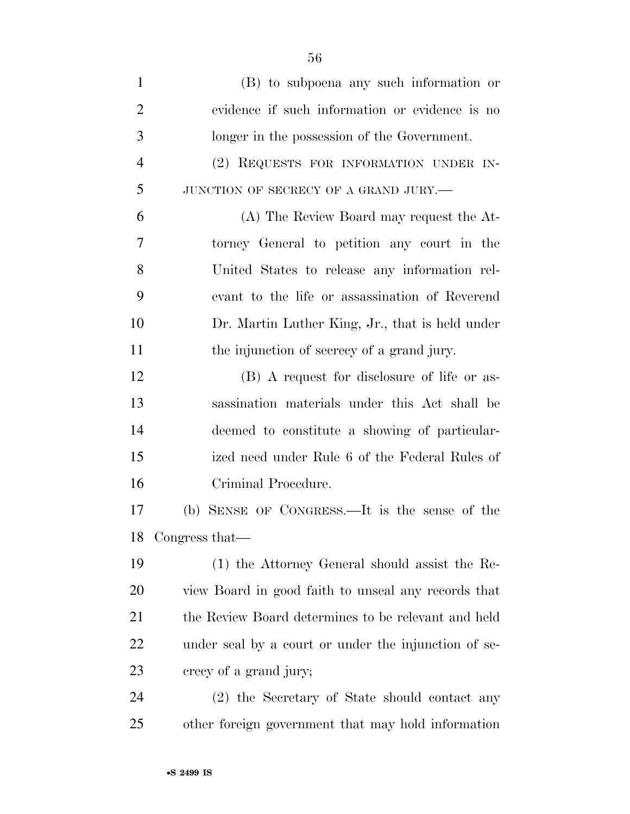| $\mathbf{1}$   | (B) to subpoena any such information or              |
|----------------|------------------------------------------------------|
| $\overline{2}$ | evidence if such information or evidence is no       |
| 3              | longer in the possession of the Government.          |
| $\overline{4}$ | (2) REQUESTS FOR INFORMATION UNDER IN-               |
| 5              | JUNCTION OF SECRECY OF A GRAND JURY.-                |
| 6              | (A) The Review Board may request the At-             |
| 7              | torney General to petition any court in the          |
| 8              | United States to release any information rel-        |
| 9              | evant to the life or assassination of Reverend       |
| 10             | Dr. Martin Luther King, Jr., that is held under      |
| 11             | the injunction of secrecy of a grand jury.           |
| 12             | (B) A request for disclosure of life or as-          |
| 13             | sassination materials under this Act shall be        |
| 14             | deemed to constitute a showing of particular-        |
| 15             | ized need under Rule 6 of the Federal Rules of       |
| 16             | Criminal Procedure.                                  |
| 17             | SENSE OF CONGRESS.—It is the sense of the<br>(b)     |
| 18             | Congress that—                                       |
| 19             | (1) the Attorney General should assist the Re-       |
| <b>20</b>      | view Board in good faith to unseal any records that  |
| 21             | the Review Board determines to be relevant and held  |
| 22             | under seal by a court or under the injunction of se- |
| 23             | crecy of a grand jury;                               |
| 24             | (2) the Secretary of State should contact any        |
| 25             | other foreign government that may hold information   |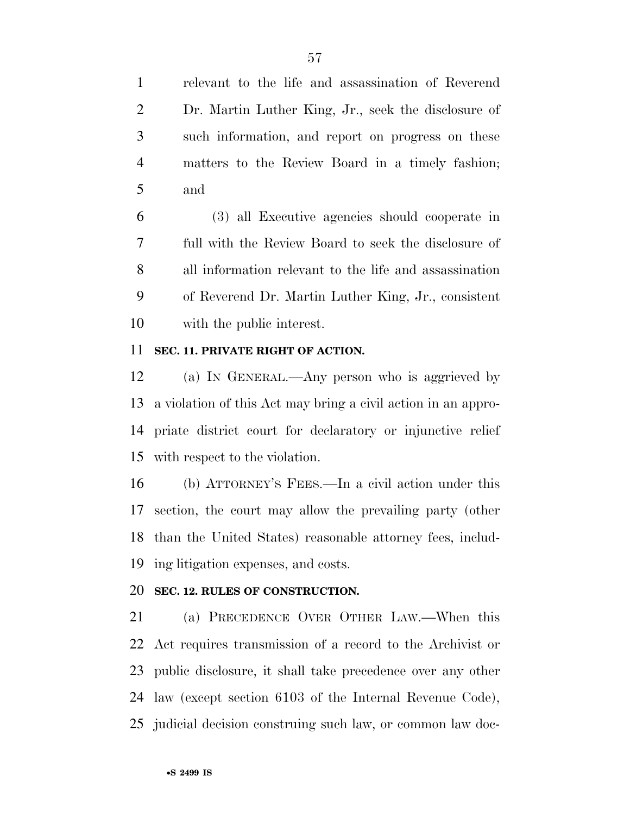relevant to the life and assassination of Reverend Dr. Martin Luther King, Jr., seek the disclosure of such information, and report on progress on these matters to the Review Board in a timely fashion; and

 (3) all Executive agencies should cooperate in full with the Review Board to seek the disclosure of all information relevant to the life and assassination of Reverend Dr. Martin Luther King, Jr., consistent with the public interest.

#### **SEC. 11. PRIVATE RIGHT OF ACTION.**

 (a) IN GENERAL.—Any person who is aggrieved by a violation of this Act may bring a civil action in an appro- priate district court for declaratory or injunctive relief with respect to the violation.

 (b) ATTORNEY'S FEES.—In a civil action under this section, the court may allow the prevailing party (other than the United States) reasonable attorney fees, includ-ing litigation expenses, and costs.

### **SEC. 12. RULES OF CONSTRUCTION.**

 (a) PRECEDENCE OVER OTHER LAW.—When this Act requires transmission of a record to the Archivist or public disclosure, it shall take precedence over any other law (except section 6103 of the Internal Revenue Code), judicial decision construing such law, or common law doc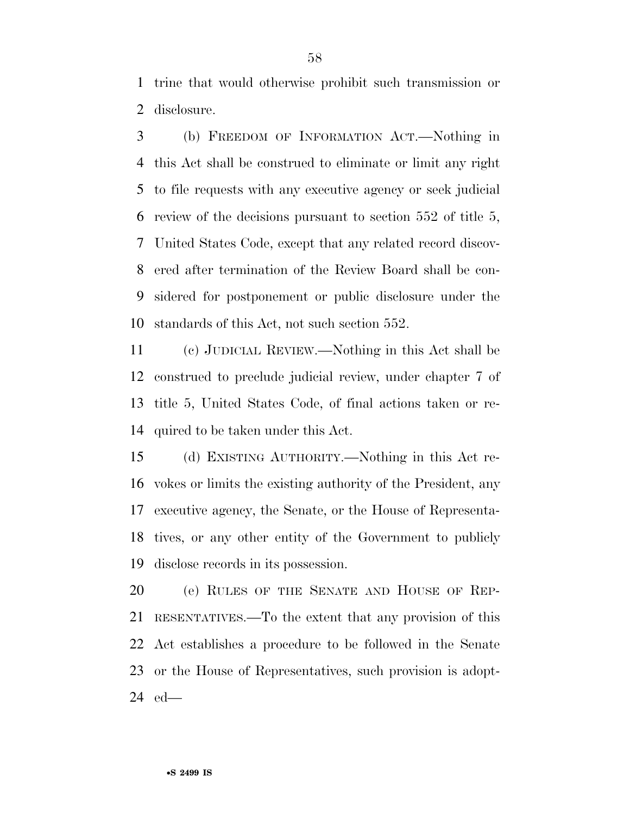trine that would otherwise prohibit such transmission or disclosure.

 (b) FREEDOM OF INFORMATION ACT.—Nothing in this Act shall be construed to eliminate or limit any right to file requests with any executive agency or seek judicial review of the decisions pursuant to section 552 of title 5, United States Code, except that any related record discov- ered after termination of the Review Board shall be con- sidered for postponement or public disclosure under the standards of this Act, not such section 552.

 (c) JUDICIAL REVIEW.—Nothing in this Act shall be construed to preclude judicial review, under chapter 7 of title 5, United States Code, of final actions taken or re-quired to be taken under this Act.

 (d) EXISTING AUTHORITY.—Nothing in this Act re- vokes or limits the existing authority of the President, any executive agency, the Senate, or the House of Representa- tives, or any other entity of the Government to publicly disclose records in its possession.

20 (e) RULES OF THE SENATE AND HOUSE OF REP- RESENTATIVES.—To the extent that any provision of this Act establishes a procedure to be followed in the Senate or the House of Representatives, such provision is adopt-ed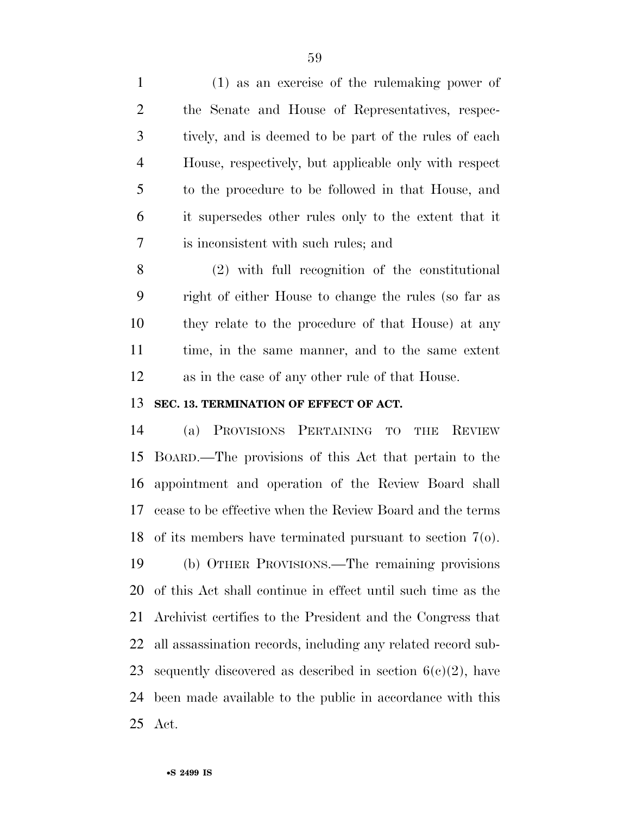(1) as an exercise of the rulemaking power of the Senate and House of Representatives, respec- tively, and is deemed to be part of the rules of each House, respectively, but applicable only with respect to the procedure to be followed in that House, and it supersedes other rules only to the extent that it is inconsistent with such rules; and

 (2) with full recognition of the constitutional right of either House to change the rules (so far as they relate to the procedure of that House) at any time, in the same manner, and to the same extent as in the case of any other rule of that House.

### **SEC. 13. TERMINATION OF EFFECT OF ACT.**

 (a) PROVISIONS PERTAINING TO THE REVIEW BOARD.—The provisions of this Act that pertain to the appointment and operation of the Review Board shall cease to be effective when the Review Board and the terms of its members have terminated pursuant to section 7(o). (b) OTHER PROVISIONS.—The remaining provisions of this Act shall continue in effect until such time as the Archivist certifies to the President and the Congress that all assassination records, including any related record sub-23 sequently discovered as described in section  $6(c)(2)$ , have been made available to the public in accordance with this Act.